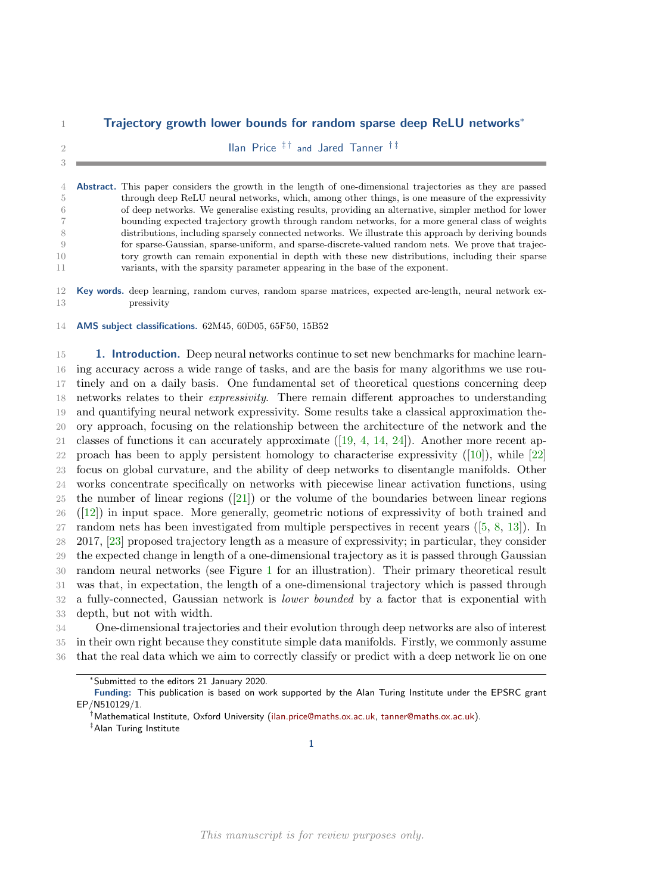# Trajectory growth lower bounds for random sparse deep ReLU networks<sup>∗</sup>

 $\frac{1}{2}$  2

 Abstract. This paper considers the growth in the length of one-dimensional trajectories as they are passed through deep ReLU neural networks, which, among other things, is one measure of the expressivity of deep networks. We generalise existing results, providing an alternative, simpler method for lower bounding expected trajectory growth through random networks, for a more general class of weights distributions, including sparsely connected networks. We illustrate this approach by deriving bounds for sparse-Gaussian, sparse-uniform, and sparse-discrete-valued random nets. We prove that trajec- tory growth can remain exponential in depth with these new distributions, including their sparse variants, with the sparsity parameter appearing in the base of the exponent.

12 Key words. deep learning, random curves, random sparse matrices, expected arc-length, neural network ex-pressivity

AMS subject classifications. 62M45, 60D05, 65F50, 15B52

**1. Introduction.** Deep neural networks continue to set new benchmarks for machine learn- ing accuracy across a wide range of tasks, and are the basis for many algorithms we use rou- tinely and on a daily basis. One fundamental set of theoretical questions concerning deep 18 networks relates to their *expressivity*. There remain different approaches to understanding and quantifying neural network expressivity. Some results take a classical approximation the- ory approach, focusing on the relationship between the architecture of the network and the 21 classes of functions it can accurately approximate  $([19, 4, 14, 24])$  $([19, 4, 14, 24])$  $([19, 4, 14, 24])$  $([19, 4, 14, 24])$  $([19, 4, 14, 24])$  $([19, 4, 14, 24])$  $([19, 4, 14, 24])$  $([19, 4, 14, 24])$  $([19, 4, 14, 24])$ . Another more recent approach has been to apply persistent homology to characterise expressivity  $(10)$ , while  $[22]$  focus on global curvature, and the ability of deep networks to disentangle manifolds. Other works concentrate specifically on networks with piecewise linear activation functions, using the number of linear regions([\[21\]](#page-19-3)) or the volume of the boundaries between linear regions ([\[12\]](#page-18-3)) in input space. More generally, geometric notions of expressivity of both trained and random nets has been investigated from multiple perspectives in recent years([\[5,](#page-18-4) [8,](#page-18-5) [13\]](#page-18-6)). In 2017, [\[23\]](#page-19-4) proposed trajectory length as a measure of expressivity; in particular, they consider the expected change in length of a one-dimensional trajectory as it is passed through Gaussian random neural networks (see Figure [1](#page-1-0) for an illustration). Their primary theoretical result was that, in expectation, the length of a one-dimensional trajectory which is passed through a fully-connected, Gaussian network is lower bounded by a factor that is exponential with depth, but not with width.

 One-dimensional trajectories and their evolution through deep networks are also of interest in their own right because they constitute simple data manifolds. Firstly, we commonly assume that the real data which we aim to correctly classify or predict with a deep network lie on one

‡Alan Turing Institute

<sup>∗</sup>Submitted to the editors 21 January 2020.

Funding: This publication is based on work supported by the Alan Turing Institute under the EPSRC grant EP/N510129/1.

<sup>†</sup>Mathematical Institute, Oxford University [\(ilan.price@maths.ox.ac.uk,](mailto:ilan.price@maths.ox.ac.uk) [tanner@maths.ox.ac.uk\)](mailto:tanner@maths.ox.ac.uk).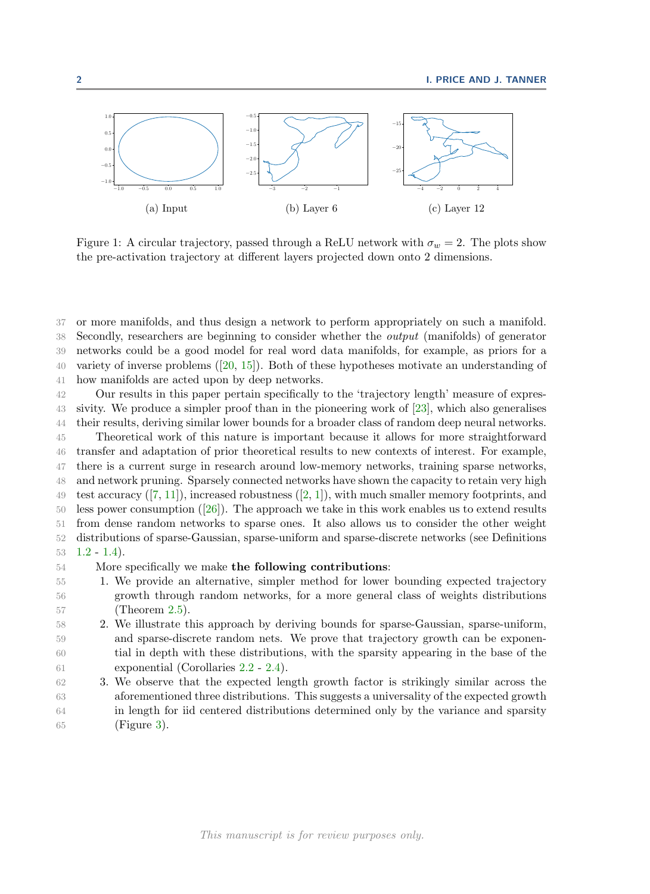<span id="page-1-0"></span>

Figure 1: A circular trajectory, passed through a ReLU network with  $\sigma_w = 2$ . The plots show the pre-activation trajectory at different layers projected down onto 2 dimensions.

 or more manifolds, and thus design a network to perform appropriately on such a manifold. Secondly, researchers are beginning to consider whether the output (manifolds) of generator networks could be a good model for real word data manifolds, for example, as priors for a variety of inverse problems  $([20, 15])$  $([20, 15])$  $([20, 15])$  $([20, 15])$  $([20, 15])$ . Both of these hypotheses motivate an understanding of how manifolds are acted upon by deep networks.

 Our results in this paper pertain specifically to the 'trajectory length' measure of expres- sivity. We produce a simpler proof than in the pioneering work of [\[23\]](#page-19-4), which also generalises their results, deriving similar lower bounds for a broader class of random deep neural networks. Theoretical work of this nature is important because it allows for more straightforward transfer and adaptation of prior theoretical results to new contexts of interest. For example, there is a current surge in research around low-memory networks, training sparse networks, and network pruning. Sparsely connected networks have shown the capacity to retain very high test accuracy  $([7, 11])$  $([7, 11])$  $([7, 11])$  $([7, 11])$  $([7, 11])$ , increased robustness  $([2, 1])$  $([2, 1])$  $([2, 1])$  $([2, 1])$  $([2, 1])$ , with much smaller memory footprints, and less power consumption([\[26\]](#page-19-6)). The approach we take in this work enables us to extend results from dense random networks to sparse ones. It also allows us to consider the other weight distributions of sparse-Gaussian, sparse-uniform and sparse-discrete networks (see Definitions

 $53 \quad 1.2 - 1.4$  $53 \quad 1.2 - 1.4$  $53 \quad 1.2 - 1.4$ ).

54 More specifically we make the following contributions:

- 55 1. We provide an alternative, simpler method for lower bounding expected trajectory 56 growth through random networks, for a more general class of weights distributions 57 (Theorem [2.5\)](#page-4-0).
- 58 2. We illustrate this approach by deriving bounds for sparse-Gaussian, sparse-uniform, 59 and sparse-discrete random nets. We prove that trajectory growth can be exponen-60 tial in depth with these distributions, with the sparsity appearing in the base of the 61 exponential (Corollaries [2.2](#page-3-0) - [2.4\)](#page-4-1).
- 62 3. We observe that the expected length growth factor is strikingly similar across the 63 aforementioned three distributions. This suggests a universality of the expected growth 64 in length for iid centered distributions determined only by the variance and sparsity 65 (Figure [3\)](#page-16-0).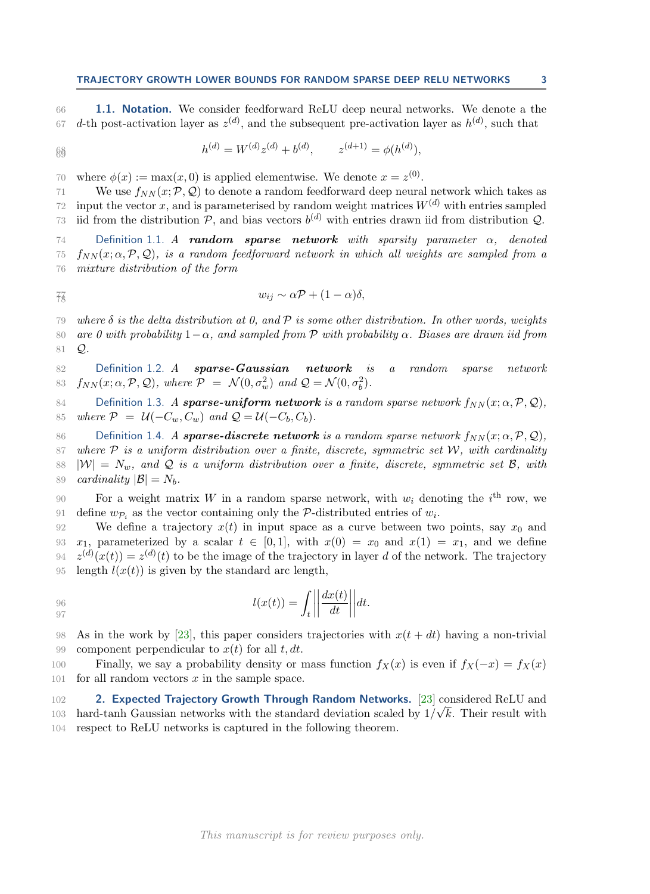<span id="page-2-2"></span>66 **1.1. Notation.** We consider feedforward ReLU deep neural networks. We denote a the 67 d-th post-activation layer as  $z^{(d)}$ , and the subsequent pre-activation layer as  $h^{(d)}$ , such that

$$
h^{(d)} = W^{(d)} z^{(d)} + b^{(d)}, \qquad z^{(d+1)} = \phi(h^{(d)}),
$$

70 where  $\phi(x) := \max(x, 0)$  is applied elementwise. We denote  $x = z^{(0)}$ .

71 We use  $f_{NN}(x; \mathcal{P}, \mathcal{Q})$  to denote a random feedforward deep neural network which takes as 72 input the vector x, and is parameterised by random weight matrices  $W^{(d)}$  with entries sampled 72 input the vector x, and is parameterised by random weight matrices  $W^{(d)}$  with entries sampled 73 iid from the distribution  $P$ , and bias vectors  $b^{(d)}$  with entries drawn iid from distribution  $Q$ .

74 Definition 1.1. A random sparse network with sparsity parameter  $\alpha$ , denoted 75  $f_{NN}(x; \alpha, \mathcal{P}, \mathcal{Q})$ , is a random feedforward network in which all weights are sampled from a 76 mixture distribution of the form

$$
w_{ij} \sim \alpha \mathcal{P} + (1-\alpha)\delta,
$$

79 where  $\delta$  is the delta distribution at 0, and  $\mathcal P$  is some other distribution. In other words, weights 80 are 0 with probability  $1-\alpha$ , and sampled from P with probability  $\alpha$ . Biases are drawn iid from <sup>81</sup> Q.

<span id="page-2-0"></span>82 Definition 1.2. A sparse-Gaussian network is a random sparse network 83  $f_{NN}(x; \alpha, \mathcal{P}, \mathcal{Q})$ , where  $\mathcal{P} = \mathcal{N}(0, \sigma_w^2)$  and  $\mathcal{Q} = \mathcal{N}(0, \sigma_b^2)$ .

84 Definition 1.3. A **sparse-uniform network** is a random sparse network  $f_{NN}(x; \alpha, \mathcal{P}, \mathcal{Q})$ ,<br>85 where  $\mathcal{P} = \mathcal{U}(-C_w, C_w)$  and  $\mathcal{Q} = \mathcal{U}(-C_b, C_b)$ . where  $\mathcal{P} = \mathcal{U}(-C_w, C_w)$  and  $\mathcal{Q} = \mathcal{U}(-C_b, C_b)$ .

<span id="page-2-1"></span>86 Definition 1.4. A **sparse-discrete network** is a random sparse network  $f_{NN}(x; \alpha, \mathcal{P}, \mathcal{Q})$ ,<br>87 where  $\mathcal{P}$  is a uniform distribution over a finite discrete symmetric set W with cardinality 87 where  $P$  is a uniform distribution over a finite, discrete, symmetric set  $W$ , with cardinality<br>88  $|W| = N_w$ , and  $Q$  is a uniform distribution over a finite, discrete, symmetric set  $B$ , with 88  $|W| = N_w$ , and Q is a uniform distribution over a finite, discrete, symmetric set B, with cardinality  $|B| = N_k$ . cardinality  $|\mathcal{B}| = N_b$ .

90 For a weight matrix W in a random sparse network, with  $w_i$  denoting the i<sup>th</sup> row, we 91 define  $wp_i$  as the vector containing only the P-distributed entries of  $w_i$ .

92 We define a trajectory  $x(t)$  in input space as a curve between two points, say  $x_0$  and 93  $x_1$ , parameterized by a scalar  $t \in [0, 1]$ , with  $x(0) = x_0$  and  $x(1) = x_1$ , and we define  $x^{(d)}(x(t)) = z^{(d)}(t)$  to be the image of the trajectory in layer d of the network. The trajectory  $z^{(d)}(x(t)) = z^{(d)}(t)$  to be the image of the trajectory in layer d of the network. The trajectory 95 length  $l(x(t))$  is given by the standard arc length,

$$
l(x(t)) = \int_{t} \left| \left| \frac{dx(t)}{dt} \right| \right| dt.
$$

98 As in the work by [\[23\]](#page-19-4), this paper considers trajectories with  $x(t + dt)$  having a non-trivial 99 component perpendicular to  $x(t)$  for all  $t, dt$ .

100 Finally, we say a probability density or mass function  $f_X(x)$  is even if  $f_X(-x) = f_X(x)$ 101 for all random vectors  $x$  in the sample space.

<span id="page-2-3"></span>102 **2. Expected Trajectory Growth Through Random Networks.** [\[23\]](#page-19-4) considered ReLU and hard-tanh Gaussian networks with the standard deviation scaled by  $1/\sqrt{k}$ . Their result with 104 respect to ReLU networks is captured in the following theorem.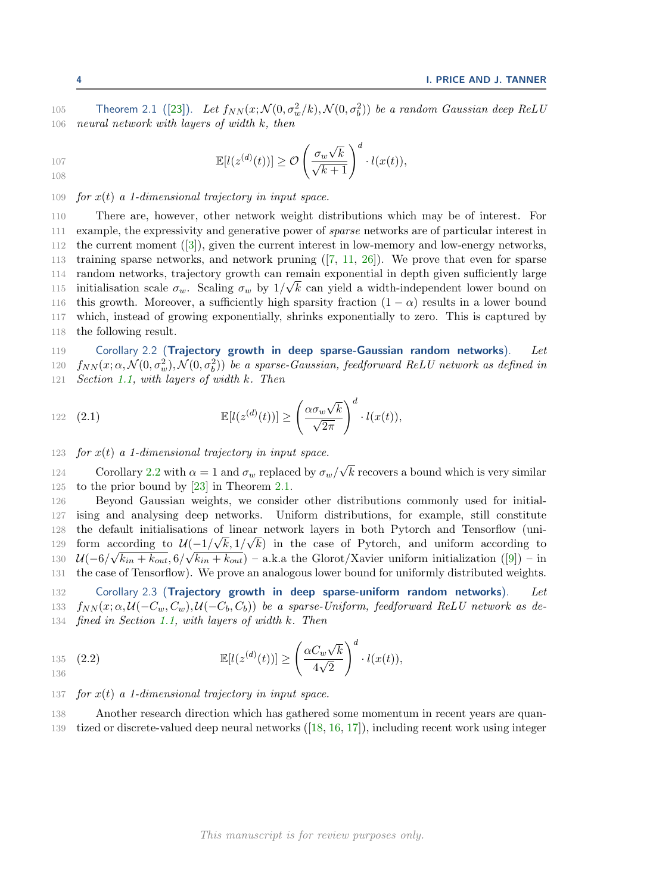105 Theorem 2.1 ([\[23\]](#page-19-4)). Let  $f_{NN}(x; \mathcal{N}(0, \sigma_w^2/k), \mathcal{N}(0, \sigma_b^2))$  be a random Gaussian deep ReLU 106 neural network with layers of width  $k$ , then

$$
\mathbb{E}[l(z^{(d)}(t))] \geq \mathcal{O}\left(\frac{\sigma_w \sqrt{k}}{\sqrt{k+1}}\right)^d \cdot l(x(t)),
$$

# 109 for  $x(t)$  a 1-dimensional trajectory in input space.

 There are, however, other network weight distributions which may be of interest. For example, the expressivity and generative power of sparse networks are of particular interest in the current moment([\[3\]](#page-18-12)), given the current interest in low-memory and low-energy networks, training sparse networks, and network pruning([\[7,](#page-18-8) [11,](#page-18-9) [26\]](#page-19-6)). We prove that even for sparse random networks, trajectory growth can remain exponential in depth given sufficiently large initialisation scale  $\sigma_w$ . Scaling  $\sigma_w$  by  $1/\sqrt{k}$  can yield a width-independent lower bound on 116 this growth. Moreover, a sufficiently high sparsity fraction  $(1 - \alpha)$  results in a lower bound which, instead of growing exponentially, shrinks exponentially to zero. This is captured by the following result.

<span id="page-3-0"></span>119 Corollary 2.2 (Trajectory growth in deep sparse-Gaussian random networks). Let 120  $f_{NN}(x; \alpha, \mathcal{N}(0, \sigma_w^2), \mathcal{N}(0, \sigma_b^2))$  be a sparse-Gaussian, feedforward ReLU network as defined in 121 Section [1.1,](#page-2-2) with layers of width k. Then

122 (2.1) 
$$
\mathbb{E}[l(z^{(d)}(t))] \geq \left(\frac{\alpha \sigma_w \sqrt{k}}{\sqrt{2\pi}}\right)^d \cdot l(x(t)),
$$

123 for  $x(t)$  a 1-dimensional trajectory in input space.

124 Corollary [2.2](#page-3-0) with  $\alpha = 1$  and  $\sigma_w$  replaced by  $\sigma_w/\sqrt{k}$  recovers a bound which is very similar 125 to the prior bound by [\[23\]](#page-19-4) in Theorem [2.1.](#page-2-3)

 Beyond Gaussian weights, we consider other distributions commonly used for initial- ising and analysing deep networks. Uniform distributions, for example, still constitute the default initialisations of linear network layers in both Pytorch and Tensorflow (uniform according to  $\mathcal{U}\left(\frac{-1}{\sqrt{k},1/\sqrt{k}}\right)$  in the case of Pytorch, and uniform according to  $\mathcal{U}(-6/\sqrt{k_{in}+k_{out}}, 6/\sqrt{k_{in}+k_{out}})$  – a.k.a the Glorot/Xavier uniform initialization ([\[9\]](#page-18-13)) – in the case of Tensorflow). We prove an analogous lower bound for uniformly distributed weights.

<span id="page-3-1"></span>132 Corollary 2.3 (Trajectory growth in deep sparse-uniform random networks). Let 133  $f_{NN}(x; \alpha, \mathcal{U}(-C_w, C_w), \mathcal{U}(-C_b, C_b))$  be a sparse-Uniform, feedforward ReLU network as de-134 fined in Section [1.1,](#page-2-2) with layers of width k. Then

$$
\mathbb{E}[l(z^{(d)}(t))] \geq \left(\frac{\alpha C_w \sqrt{k}}{4\sqrt{2}}\right)^d \cdot l(x(t)),
$$

137 for  $x(t)$  a 1-dimensional trajectory in input space.

138 Another research direction which has gathered some momentum in recent years are quan-139 tized or discrete-valued deep neural networks([\[18,](#page-18-14) [16,](#page-18-15) [17\]](#page-18-16)), including recent work using integer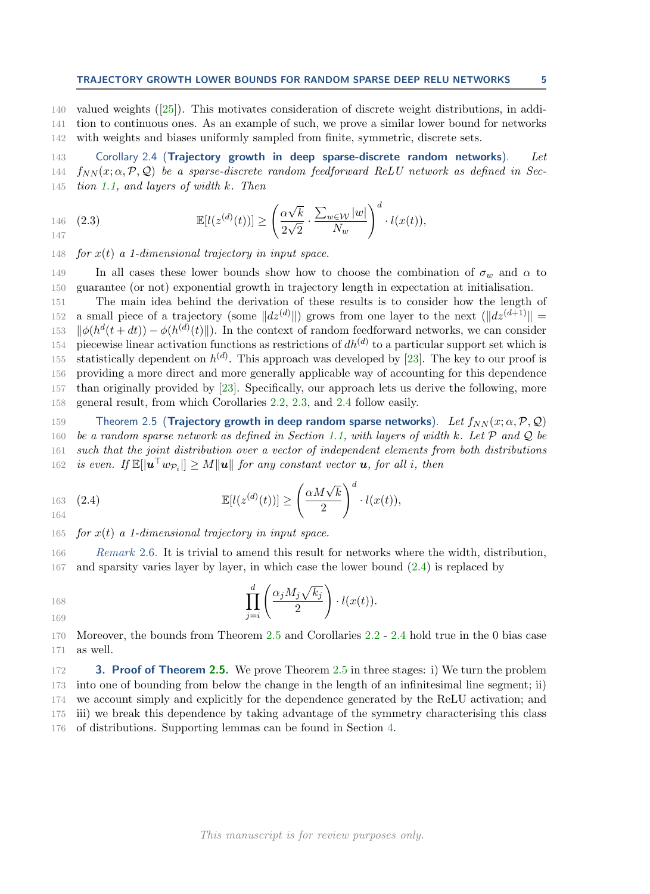140 valued weights([\[25\]](#page-19-7)). This motivates consideration of discrete weight distributions, in addi-141 tion to continuous ones. As an example of such, we prove a similar lower bound for networks 142 with weights and biases uniformly sampled from finite, symmetric, discrete sets.

<span id="page-4-1"></span>143 Corollary 2.4 (Trajectory growth in deep sparse-discrete random networks). Let 144  $f_{NN}(x; \alpha, \mathcal{P}, \mathcal{Q})$  be a sparse-discrete random feedforward ReLU network as defined in Sec-145 tion [1.1,](#page-2-2) and layers of width  $k$ . Then

146 (2.3) 
$$
\mathbb{E}[l(z^{(d)}(t))] \geq \left(\frac{\alpha\sqrt{k}}{2\sqrt{2}} \cdot \frac{\sum_{w \in \mathcal{W}} |w|}{N_w}\right)^d \cdot l(x(t)),
$$

148 for  $x(t)$  a 1-dimensional trajectory in input space.

149 In all cases these lower bounds show how to choose the combination of  $\sigma_w$  and  $\alpha$  to 150 guarantee (or not) exponential growth in trajectory length in expectation at initialisation.

 The main idea behind the derivation of these results is to consider how the length of a small piece of a trajectory (some  $||dz^{(d)}||$ ) grows from one layer to the next  $(||dz^{(d+1)}|| = ||\phi(h^d(t+dt)) - \phi(h^{(d)}(t) ||)$ . In the context of random feedforward networks, we can consider  $\|\phi(h^d(t+dt)) - \phi(h^{(d)}(t)\|)$ . In the context of random feedforward networks, we can consider 154 piecewise linear activation functions as restrictions of  $dh^{(d)}$  to a particular support set which is 155 statistically dependent on  $h^{(d)}$ . This approach was developed by [\[23\]](#page-19-4). The key to our proof is providing a more direct and more generally applicable way of accounting for this dependence than originally provided by [\[23\]](#page-19-4). Specifically, our approach lets us derive the following, more general result, from which Corollaries [2.2,](#page-3-0) [2.3,](#page-3-1) and [2.4](#page-4-1) follow easily.

<span id="page-4-0"></span>159 Theorem 2.5 (**Trajectory growth in deep random sparse networks**). Let  $f_{NN}(x; \alpha, \mathcal{P}, \mathcal{Q})$ <br>160 be a random sparse network as defined in Section 1.1, with layers of width k. Let  $\mathcal{P}$  and  $\mathcal{Q}$  be 160 be a random sparse network as defined in Section [1.1,](#page-2-2) with layers of width k. Let  $P$  and  $Q$  be<br>161 such that the joint distribution over a vector of independent elements from both distributions such that the joint distribution over a vector of independent elements from both distributions 162 is even. If  $\mathbb{E}[\vert \bm{u}^{\top} w_{\mathcal{P}_i} \vert] \geq M \|\bm{u}\|$  for any constant vector **u**, for all i, then

<span id="page-4-2"></span>163 (2.4) 
$$
\mathbb{E}[l(z^{(d)}(t))] \geq \left(\frac{\alpha M\sqrt{k}}{2}\right)^d \cdot l(x(t)),
$$

165 for  $x(t)$  a 1-dimensional trajectory in input space.

166 Remark 2.6. It is trivial to amend this result for networks where the width, distribution, 167 and sparsity varies layer by layer, in which case the lower bound [\(2.4\)](#page-4-2) is replaced by

168  
169  

$$
\prod_{j=i}^d \left( \frac{\alpha_j M_j \sqrt{k_j}}{2} \right) \cdot l(x(t)).
$$

170 Moreover, the bounds from Theorem [2.5](#page-4-0) and Corollaries [2.2](#page-3-0) - [2.4](#page-4-1) hold true in the 0 bias case 171 as well.

172 3. Proof of Theorem [2.5.](#page-4-0) We prove Theorem [2.5](#page-4-0) in three stages: i) We turn the problem into one of bounding from below the change in the length of an infinitesimal line segment; ii) we account simply and explicitly for the dependence generated by the ReLU activation; and iii) we break this dependence by taking advantage of the symmetry characterising this class of distributions. Supporting lemmas can be found in Section [4.](#page-8-0)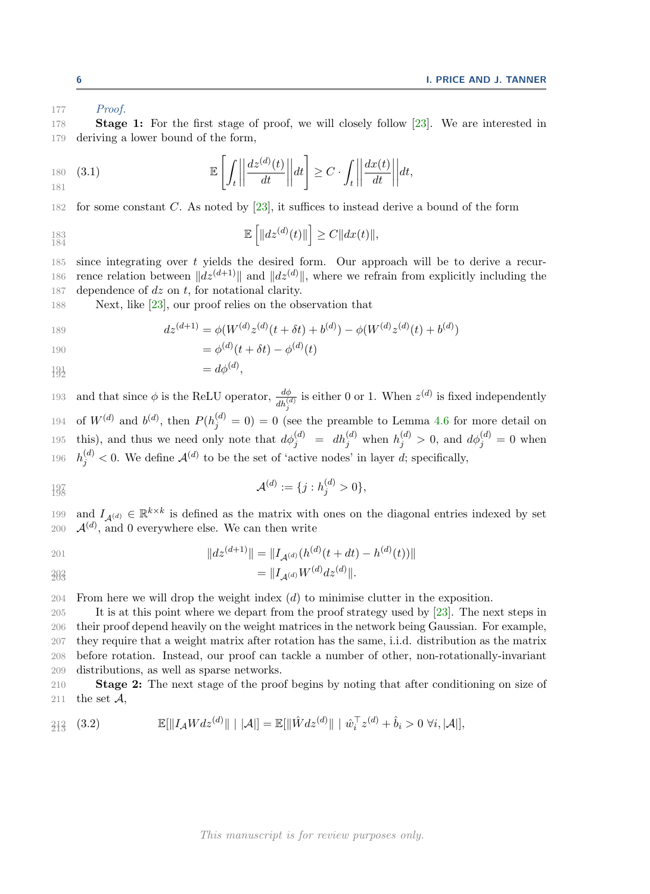177 *Proof.* 

178 Stage 1: For the first stage of proof, we will closely follow [\[23\]](#page-19-4). We are interested in 179 deriving a lower bound of the form,

$$
\mathbb{E}\left[\int_t \left|\left|\frac{dz^{(d)}(t)}{dt}\right|\right| dt\right] \ge C \cdot \int_t \left|\left|\frac{dx(t)}{dt}\right|\right| dt,
$$

182 for some constant C. As noted by [\[23\]](#page-19-4), it suffices to instead derive a bound of the form

$$
\mathbb{E}\left[\|dz^{(d)}(t)\|\right] \ge C\|dx(t)\|,
$$
  

$$
\mathbb{E}\left[\|dz^{(d)}(t)\|\right] \ge C\|dx(t)\|,
$$

185 since integrating over  $t$  yields the desired form. Our approach will be to derive a recur-186 rence relation between  $||dz^{(d+1)}||$  and  $||dz^{(d)}||$ , where we refrain from explicitly including the 187 dependence of  $dz$  on  $t$ , for notational clarity.

188 Next, like [\[23\]](#page-19-4), our proof relies on the observation that

189 
$$
dz^{(d+1)} = \phi(W^{(d)}z^{(d)}(t+\delta t) + b^{(d)}) - \phi(W^{(d)}z^{(d)}(t) + b^{(d)})
$$

190 = 
$$
\phi^{(d)}(t + \delta t) - \phi^{(d)}(t)
$$

$$
\ddagger \mathcal{G}_2^1 \qquad \qquad = d\phi^{(d)},
$$

193 and that since  $\phi$  is the ReLU operator,  $\frac{d\phi}{dh_j^{(d)}}$  is either 0 or 1. When  $z^{(d)}$  is fixed independently 194 of  $W^{(d)}$  and  $b^{(d)}$ , then  $P(h_j^{(d)} = 0) = 0$  (see the preamble to Lemma [4.6](#page-11-0) for more detail on 195 this), and thus we need only note that  $d\phi_j^{(d)} = dh_j^{(d)}$  when  $h_j^{(d)} > 0$ , and  $d\phi_j^{(d)} = 0$  when 196  $h_j^{(d)} < 0$ . We define  $\mathcal{A}^{(d)}$  to be the set of 'active nodes' in layer d; specifically,

$$
\mathcal{A}^{(d)} := \{j : h_j^{(d)} > 0\},\
$$

199 and  $I_{\mathcal{A}^{(d)}} \in \mathbb{R}^{k \times k}$  is defined as the matrix with ones on the diagonal entries indexed by set 200  $\mathcal{A}^{(d)}$ , and 0 everywhere else. We can then write

201 
$$
||dz^{(d+1)}|| = ||I_{\mathcal{A}^{(d)}}(h^{(d)}(t+dt) - h^{(d)}(t))||
$$

$$
\hat{z}^{\beta 3} = ||I_{\mathcal{A}^{(d)}} W^{(d)} dz^{(d)}||.
$$

 $204$  From here we will drop the weight index (d) to minimise clutter in the exposition.

 It is at this point where we depart from the proof strategy used by [\[23\]](#page-19-4). The next steps in their proof depend heavily on the weight matrices in the network being Gaussian. For example, they require that a weight matrix after rotation has the same, i.i.d. distribution as the matrix before rotation. Instead, our proof can tackle a number of other, non-rotationally-invariant distributions, as well as sparse networks.

210 Stage 2: The next stage of the proof begins by noting that after conditioning on size of 211 the set  $\mathcal{A}$ ,

<span id="page-5-0"></span>
$$
\mathbb{E}[\|I_{\mathcal{A}}Wdz^{(d)}\| \mid |\mathcal{A}|\] = \mathbb{E}[\|\hat{W}dz^{(d)}\| \mid \hat{w}_i^{\top}z^{(d)} + \hat{b}_i > 0 \,\forall i, |\mathcal{A}|\],
$$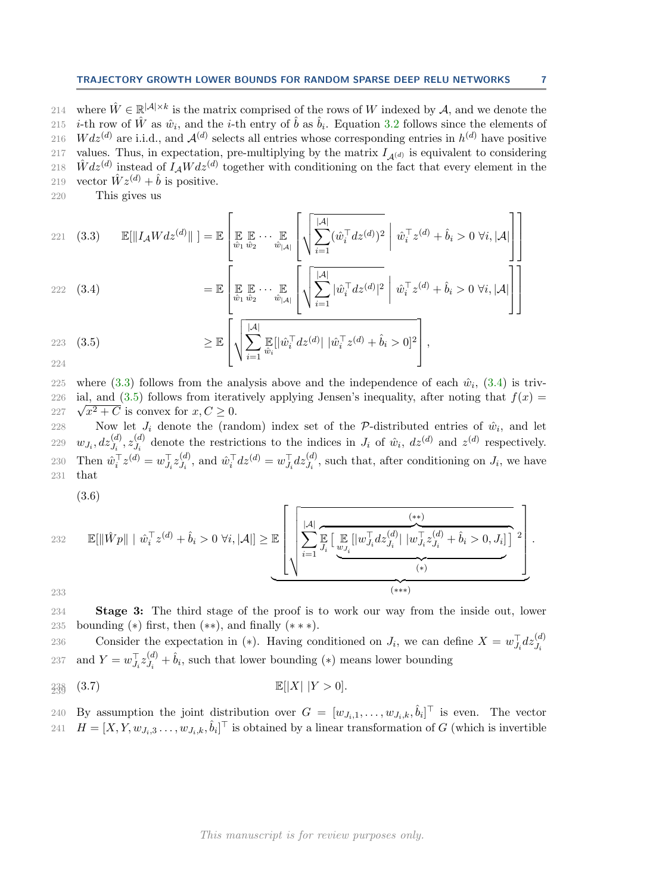214 where  $\hat{W} \in \mathbb{R}^{|\mathcal{A}| \times k}$  is the matrix comprised of the rows of W indexed by A, and we denote the 215 *i*-th row of  $\hat{W}$  as  $\hat{w}_i$ , and the *i*-th entry of  $\hat{b}$  as  $\hat{b}_i$ . Equation [3.2](#page-5-0) follows since the elements of 216  $Wdz^{(d)}$  are i.i.d., and  $\mathcal{A}^{(d)}$  selects all entries whose corresponding entries in  $h^{(d)}$  have positive 217 values. Thus, in expectation, pre-multiplying by the matrix  $I_{A(d)}$  is equivalent to considering 218  $\hat{W}$ dz<sup>(d)</sup> instead of  $I_A W$ dz<sup>(d)</sup> together with conditioning on the fact that every element in the 219 vector  $\hat{W} z^{(d)} + \hat{b}$  is positive.

220 This gives us

<span id="page-6-0"></span>221 (3.3) 
$$
\mathbb{E}[\|I_{\mathcal{A}}Wdz^{(d)}\|] = \mathbb{E}\left[\mathbb{E}\mathbb{E}\cdots\mathbb{E}\left[\sqrt{\sum_{i=1}^{|\mathcal{A}|}(\hat{w}_i^{\top}dz^{(d)})^2} \middle|\hat{w}_i^{\top}z^{(d)} + \hat{b}_i > 0 \,\forall i, |\mathcal{A}|\right]\right]
$$
  
\n222 (3.4) 
$$
= \mathbb{E}\left[\mathbb{E}\mathbb{E}\cdots\mathbb{E}\left[\sqrt{\sum_{i=1}^{|\mathcal{A}|}|\hat{w}_i^{\top}dz^{(d)}|^2} \middle|\hat{w}_i^{\top}z^{(d)} + \hat{b}_i > 0 \,\forall i, |\mathcal{A}|\right]\right]
$$

<span id="page-6-1"></span>
$$
= \mathbb{E}\left[\mathbb{E}\left[\mathbb{E}\left[\mathbb{E}\cdots\mathbb{E}\left[\sqrt{\mathbb{E}_{i-1}}\right] \left[\sqrt{\sum_{i=1}^{n} |\hat{w}_i|^T}dz^{(d)}\right]^2 \middle|\hat{w}_i^T z^{(d)} + \hat{b}_i > 0 \,\forall i, |\mathcal{A}|\right]\right]\right]
$$

<span id="page-6-2"></span>223 (3.5)  
\n
$$
\geq \mathbb{E}\left[\sqrt{\sum_{i=1}^{|\mathcal{A}|} \mathbb{E}_{\hat{w}_i}[\hat{w}_i^\top dz^{(d)} | \hat{w}_i^\top z^{(d)} + \hat{b}_i > 0]^2}\right],
$$

225 where [\(3.3\)](#page-6-0) follows from the analysis above and the independence of each  $\hat{w}_i$ , [\(3.4\)](#page-6-1) is triv-226 ial, and ([3.5\)](#page-6-2) follows from iteratively applying Jensen's inequality, after noting that  $f(x) =$ 227  $\sqrt{x^2 + C}$  is convex for  $x, C \ge 0$ .

228 Now let  $J_i$  denote the (random) index set of the P-distributed entries of  $\hat{w}_i$ , and let  $w_{J_i}, dz_{J_i}^{(d)}, z_{J_i}^{(d)}$ 229  $w_{J_i}, dz_{J_i}^{(d)}, z_{J_i}^{(d)}$  denote the restrictions to the indices in  $J_i$  of  $\hat{w}_i$ ,  $dz^{(d)}$  and  $z^{(d)}$  respectively. Then  $\hat{w}_i^{\top} z^{(d)} = w_{J_i}^{\top} z_{J_i}^{(d)}$ 230 Then  $\hat{w}_i^{\top} z^{(d)} = w_{J_i}^{\top} z_{J_i}^{(d)}$ , and  $\hat{w}_i^{\top} dz^{(d)} = w_{J_i}^{\top} dz_{J_i}^{(d)}$ , such that, after conditioning on  $J_i$ , we have 231 that

<span id="page-6-3"></span>(3.6)

232 
$$
\mathbb{E}[\|\hat{W}p\| \mid \hat{w}_i^{\top}z^{(d)} + \hat{b}_i > 0 \ \forall i, |\mathcal{A}|] \geq \mathbb{E}\left[\sqrt{\sum_{i=1}^{|\mathcal{A}|}\mathbb{E}\left[\mathbb{E}\left[|w_{J_i}^{\top}dz_{J_i}^{(d)}| \mid w_{J_i}^{\top}z_{J_i}^{(d)} + \hat{b}_i > 0, J_i\right]\right]^2}\right].
$$

233

234 Stage 3: The third stage of the proof is to work our way from the inside out, lower 235 bounding  $(*)$  first, then  $(**)$ , and finally  $(***)$ .

Consider the expectation in (\*). Having conditioned on  $J_i$ , we can define  $X = w_{J_i}^{\top} dz_{J_i}^{(d)}$ 236 and  $Y = w_{J_i}^{\top} z_{J_i}^{(d)}$ 237 and  $Y = w_{J_i}^{\top} z_{J_i}^{(d)} + \hat{b}_i$ , such that lower bounding (\*) means lower bounding

$$
\mathbb{E}[|X| \ | Y > 0].
$$
 
$$
\mathbb{E}[|X| \ | Y > 0].
$$

240 By assumption the joint distribution over  $G = [w_{J_i,1}, \ldots, w_{J_i,k}, \hat{b}_i]^\top$  is even. The vector 241  $H = [X, Y, w_{J_i,3} \dots, w_{J_i,k}, \hat{b}_i]^\top$  is obtained by a linear transformation of G (which is invertible

 $\parallel$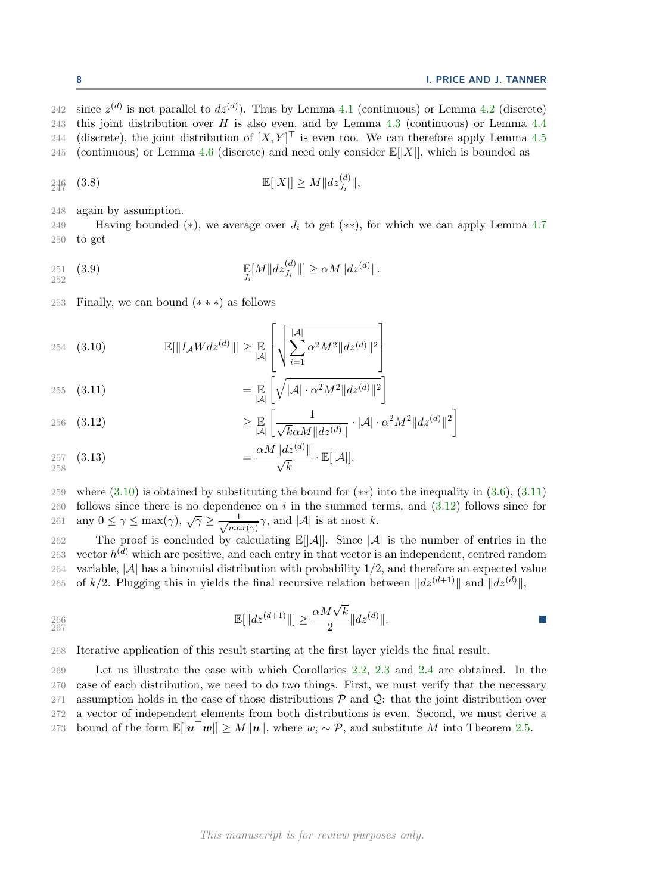242 since  $z^{(d)}$  is not parallel to  $dz^{(d)}$ ). Thus by Lemma [4.1](#page-8-0) (continuous) or Lemma [4.2](#page-8-1) (discrete) 243 this joint distribution over H is also even, and by Lemma [4.3](#page-9-0) (continuous) or Lemma [4.4](#page-9-1) 244 (discrete), the joint distribution of  $[X, Y]^\top$  is even too. We can therefore apply Lemma [4.5](#page-9-2) 245 (continuous) or Lemma [4.6](#page-11-0) (discrete) and need only consider  $\mathbb{E}[|X|]$ , which is bounded as

$$
\mathbb{E}[|X|] \ge M \|dz_{J_i}^{(d)}\|,
$$

248 again by assumption.

249 Having bounded (\*), we average over  $J_i$  to get (\*\*), for which we can apply Lemma [4.7](#page-12-0)<br>250 to get to get

<span id="page-7-3"></span>251 (3.9) 
$$
\mathbb{E}[M||dz_{J_i}^{(d)}||] \ge \alpha M||dz^{(d)}||.
$$

<sup>253</sup> Finally, we can bound (∗ ∗ ∗) as follows

<span id="page-7-0"></span>254 (3.10) 
$$
\mathbb{E}[\|I_{\mathcal{A}}Wdz^{(d)}\|] \geq \mathbb{E}_{|\mathcal{A}|} \left[ \sqrt{\sum_{i=1}^{|\mathcal{A}|} \alpha^2 M^2 \|dz^{(d)}\|^2} \right]
$$

<span id="page-7-1"></span>
$$
255 \quad (3.11)
$$
\n
$$
= \mathbb{E} \left[ \sqrt{|\mathcal{A}| \cdot \alpha^2 M^2 ||dz^{(d)}||^2} \right]
$$

<span id="page-7-2"></span>
$$
\geq \mathbb{E}\left[\frac{1}{\sqrt{k}\alpha M\|dz^{(d)}\|}\cdot |\mathcal{A}|\cdot \alpha^2 M^2\|dz^{(d)}\|^2\right]
$$

$$
\alpha M\|dz^{(d)}\|
$$

257 (3.13) 
$$
= \frac{\alpha M ||dz^{(d)}||}{\sqrt{k}} \cdot \mathbb{E}[|\mathcal{A}|].
$$

259 where [\(3.10\)](#page-7-0) is obtained by substituting the bound for (\*\*) into the inequality in [\(3.6\)](#page-6-3), [\(3.11\)](#page-7-1)<br>260 follows since there is no dependence on *i* in the summed terms, and (3.12) follows since for follows since there is no dependence on i in the summed terms, and  $(3.12)$  follows since for any  $0 \leq \gamma \leq \max(\gamma)$ ,  $\sqrt{\gamma} \geq \frac{1}{\sqrt{ma}}$ 261 any  $0 \le \gamma \le \max(\gamma)$ ,  $\sqrt{\gamma} \ge \frac{1}{\sqrt{max(\gamma)}}\gamma$ , and  $|\mathcal{A}|$  is at most k.

262 The proof is concluded by calculating  $\mathbb{E}[|\mathcal{A}|]$ . Since  $|\mathcal{A}|$  is the number of entries in the 263 vector  $h^{(d)}$  which are positive and each entry in that vector is an independent centred random 263 vector  $h^{(d)}$  which are positive, and each entry in that vector is an independent, centred random 264 variable,  $|\mathcal{A}|$  has a binomial distribution with probability 1/2, and therefore an expected value 265 of  $k/2$ . Plugging this in yields the final recursive relation between  $||dz^{(d+1)}||$  and  $||dz^{(d)}||$ ,

266 
$$
\mathbb{E}[\|dz^{(d+1)}\|] \geq \frac{\alpha M\sqrt{k}}{2} \|dz^{(d)}\|.
$$

268 Iterative application of this result starting at the first layer yields the final result.

269 Let us illustrate the ease with which Corollaries [2.2,](#page-3-0) [2.3](#page-3-1) and [2.4](#page-4-1) are obtained. In the 270 case of each distribution, we need to do two things. First, we must verify that the necessary 271 assumption holds in the case of those distributions  $\mathcal P$  and  $\mathcal Q$ : that the joint distribution over 272 a vector of independent elements from both distributions is even. Second, we must derive a 273 bound of the form  $\mathbb{E}[\Vert \boldsymbol{u}^\top \boldsymbol{w}\Vert] \geq M \Vert \boldsymbol{u} \Vert$ , where  $w_i \sim \mathcal{P}$ , and substitute M into Theorem [2.5.](#page-4-0)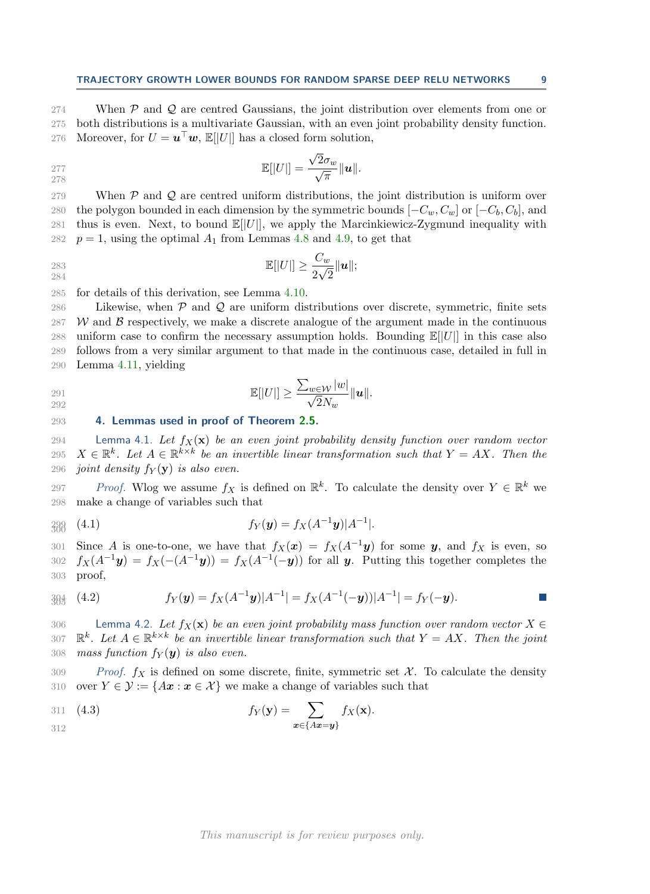$\mathcal{C}^{\mathcal{A}}$ 

274 When  $P$  and  $Q$  are centred Gaussians, the joint distribution over elements from one or 275 both distributions is a multivariate Gaussian, with an even joint probability density function. both distributions is a multivariate Gaussian, with an even joint probability density function. 276 Moreover, for  $U = \mathbf{u}^\top \mathbf{w}$ ,  $\mathbb{E}[|U|]$  has a closed form solution,

$$
\mathbb{E}[|U|] = \frac{\sqrt{2}\sigma_w}{\sqrt{\pi}} \|\mathbf{u}\|.
$$
278

279 When  $P$  and  $Q$  are centred uniform distributions, the joint distribution is uniform over 280 the polygon bounded in each dimension by the symmetric bounds  $[-C_w, C_w]$  or  $[-C_b, C_b]$ , and 281 thus is even. Next, to bound  $\mathbb{E}[|U|]$ , we apply the Marcinkiewicz-Zygmund inequality with 281 thus is even. Next, to bound  $\mathbb{E}[|U|]$ , we apply the Marcinkiewicz-Zygmund inequality with 282  $n = 1$ , using the optimal  $A_1$  from Lemmas 4.8 and 4.9, to get that  $p = 1$ , using the optimal  $A_1$  from Lemmas [4.8](#page-13-0) and [4.9,](#page-13-1) to get that

$$
\mathbb{E}[|U|] \ge \frac{C_w}{2\sqrt{2}} \|\mathbf{u}\|;
$$

285 for details of this derivation, see Lemma [4.10.](#page-13-2)

286 Likewise, when  $P$  and  $Q$  are uniform distributions over discrete, symmetric, finite sets 287 W and B respectively, we make a discrete analogue of the argument made in the continuous uniform case to confirm the necessary assumption holds. Bounding  $\mathbb{E}[[U]]$  in this case also uniform case to confirm the necessary assumption holds. Bounding  $\mathbb{E}[|U|]$  in this case also 289 follows from a very similar argument to that made in the continuous case, detailed in full in 290 Lemma [4.11,](#page-14-0) yielding

$$
\mathbb{E}[|U|] \ge \frac{\sum_{w \in \mathcal{W}} |w|}{\sqrt{2}N_w} ||\mathbf{u}||.
$$

<span id="page-8-0"></span>293 4. Lemmas used in proof of Theorem [2.5.](#page-4-0)

294 Lemma 4.1. Let  $f_X(\mathbf{x})$  be an even joint probability density function over random vector 295  $X \in \mathbb{R}^k$ . Let  $A \in \mathbb{R}^{k \times k}$  be an invertible linear transformation such that  $Y = AX$ . Then the 296 joint density  $f_Y(y)$  is also even.

297 Proof. Wlog we assume  $f_X$  is defined on  $\mathbb{R}^k$ . To calculate the density over  $Y \in \mathbb{R}^k$  we 298 make a change of variables such that

$$
f_Y(y) = f_X(A^{-1}y)|A^{-1}|.
$$

301 Since A is one-to-one, we have that  $f_X(x) = f_X(A^{-1}y)$  for some y, and  $f_X$  is even, so 302  $f_X(A^{-1}y) = f_X(-(A^{-1}y)) = f_X(A^{-1}(-y))$  for all y. Putting this together completes the 303 proof,

$$
\mathcal{H}_{Y}(\mathbf{y}) = f_{X}(A^{-1}\mathbf{y})|A^{-1}| = f_{X}(A^{-1}(-\mathbf{y}))|A^{-1}| = f_{Y}(-\mathbf{y}).
$$

<span id="page-8-1"></span>306 Lemma 4.2. Let  $f_X(\mathbf{x})$  be an even joint probability mass function over random vector  $X \in$ <br>307  $\mathbb{R}^k$ . Let  $A \in \mathbb{R}^{k \times k}$  be an invertible linear transformation such that  $Y = AX$ . Then the joint 307  $\mathbb{R}^k$ . Let  $A \in \mathbb{R}^{k \times k}$  be an invertible linear transformation such that  $Y = AX$ . Then the joint 308 mass function  $f_Y(y)$  is also even.

309 Proof.  $f_X$  is defined on some discrete, finite, symmetric set  $\mathcal X$ . To calculate the density 310 over  $Y \in \mathcal{Y} := \{Ax : x \in \mathcal{X}\}\$  we make a change of variables such that

311 (4.3) 
$$
f_Y(y) = \sum_{x \in \{Ax = y\}} f_X(x).
$$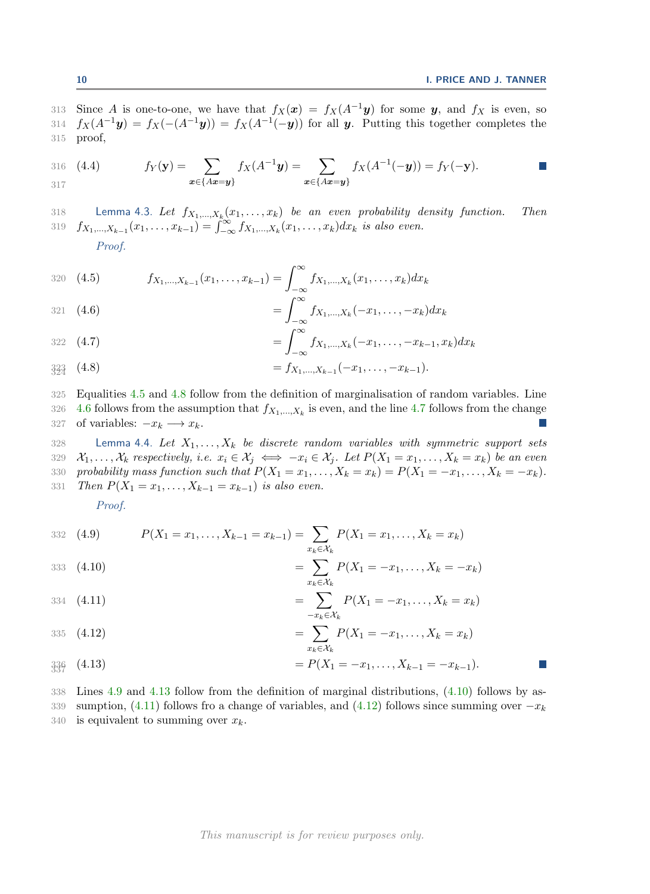$\mathbb{R}^n$ 

313 Since A is one-to-one, we have that  $f_X(x) = f_X(A^{-1}y)$  for some y, and  $f_X$  is even, so 314  $f_X(A^{-1}y) = f_X(-(A^{-1}y)) = f_X(A^{-1}(-y))$  for all y. Putting this together completes the 315 proof,

316 (4.4) 
$$
f_Y(\mathbf{y}) = \sum_{\mathbf{x} \in \{Ax = \mathbf{y}\}} f_X(A^{-1}\mathbf{y}) = \sum_{\mathbf{x} \in \{Ax = \mathbf{y}\}} f_X(A^{-1}(-\mathbf{y})) = f_Y(-\mathbf{y}).
$$

<span id="page-9-0"></span>318 Lemma 4.3. Let  $f_{X_1,...,X_k}(x_1,...,x_k)$  be an even probability density function. Then 319  $f_{X_1,...,X_{k-1}}(x_1,...,x_{k-1}) = \int_{-\infty}^{\infty} f_{X_1,...,X_k}(x_1,...,x_k) dx_k$  is also even.

Proof.

<span id="page-9-3"></span>320 (4.5) 
$$
f_{X_1,...,X_{k-1}}(x_1,...,x_{k-1}) = \int_{-\infty}^{\infty} f_{X_1,...,X_k}(x_1,...,x_k) dx_k
$$

<span id="page-9-5"></span>321 (4.6) 
$$
= \int_{-\infty}^{\infty} f_{X_1,...,X_k}(-x_1,...,-x_k) dx_k
$$

<span id="page-9-6"></span>
$$
= \int_{-\infty}^{+\infty} f_{X_1,\ldots,X_k}(-x_1,\ldots,-x_{k-1},x_k) dx_k
$$

<span id="page-9-4"></span>
$$
\mathbf{3}_{24}^{33} \quad (4.8) \qquad \qquad = f_{X_1,\ldots,X_{k-1}}(-x_1,\ldots,-x_{k-1}).
$$

325 Equalities [4.5](#page-9-3) and [4.8](#page-9-4) follow from the definition of marginalisation of random variables. Line

326 [4.6](#page-9-5) follows from the assumption that  $f_{X_1,...,X_k}$  is even, and the line [4.7](#page-9-6) follows from the change 327 of variables:  $-x_k \longrightarrow x_k$ .

<span id="page-9-1"></span>328 Lemma 4.4. Let  $X_1, \ldots, X_k$  be discrete random variables with symmetric support sets 329  $\mathcal{X}_1, \ldots, \mathcal{X}_k$  respectively, i.e.  $x_i \in \mathcal{X}_j \iff -x_i \in \mathcal{X}_j$ . Let  $P(X_1 = x_1, \ldots, X_k = x_k)$  be an even <br>330 probability mass function such that  $P(X_1 = x_1, \ldots, X_k = x_k) = P(X_1 = -x_1, \ldots, X_k = -x_k)$ . 330 probability mass function such that  $P(X_1 = x_1, \ldots, X_k = x_k) = P(X_1 = -x_1, \ldots, X_k = -x_k)$ .<br>331 Then  $P(X_1 = x_1, \ldots, X_{k-1} = x_{k-1})$  is also even. Then  $P(X_1 = x_1, \ldots, X_{k-1} = x_{k-1})$  is also even.

Proof.

<span id="page-9-7"></span>332 (4.9) 
$$
P(X_1 = x_1, ..., X_{k-1} = x_{k-1}) = \sum_{x_k \in \mathcal{X}_k} P(X_1 = x_1, ..., X_k = x_k)
$$

<span id="page-9-9"></span>333 (4.10) 
$$
= \sum_{x_k \in \mathcal{X}_k} P(X_1 = -x_1, \dots, X_k = -x_k)
$$

<span id="page-9-10"></span>334 (4.11) 
$$
= \sum_{-x_k \in \mathcal{X}_k} P(X_1 = -x_1, \dots, X_k = x_k)
$$

<span id="page-9-11"></span>335 (4.12) 
$$
= \sum_{x_k \in X_k} P(X_1 = -x_1, ..., X_k = x_k)
$$

<span id="page-9-8"></span>
$$
\mathfrak{Z}_{30}^3 \qquad (4.13) \qquad \qquad = P(X_1 = -x_1, \ldots, X_{k-1} = -x_{k-1}).
$$

<span id="page-9-2"></span>338 Lines [4.9](#page-9-7) and [4.13](#page-9-8) follow from the definition of marginal distributions, [\(4.10\)](#page-9-9) follows by as-339 sumption, [\(4.11\)](#page-9-10) follows fro a change of variables, and [\(4.12\)](#page-9-11) follows since summing over  $-x_k$ 340 is equivalent to summing over  $x_k$ .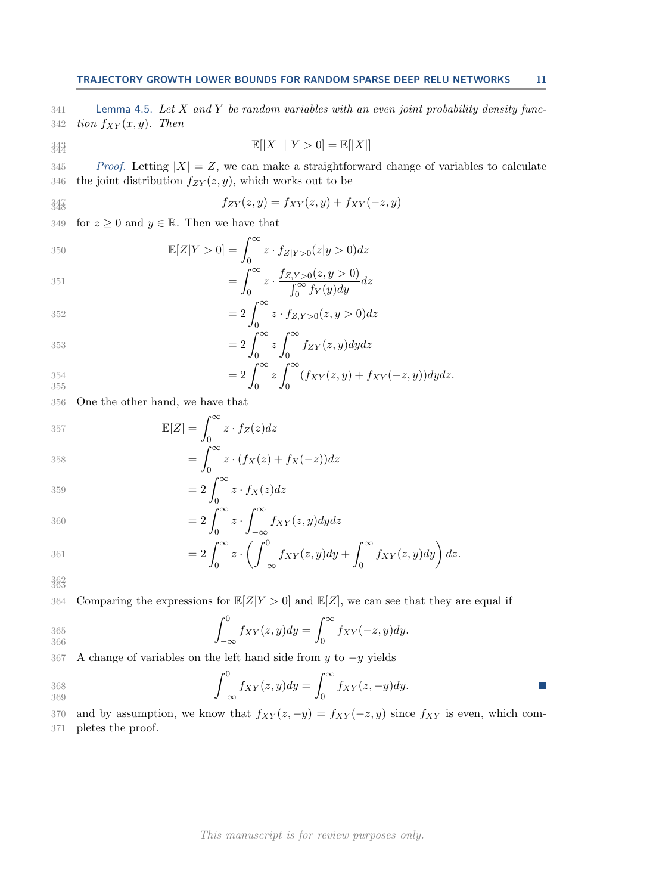341 Lemma 4.5. Let  $X$  and  $Y$  be random variables with an even joint probability density func-342 *tion*  $f_{XY}(x, y)$ . Then

$$
\mathbb{E}[|X| \mid Y > 0] = \mathbb{E}[|X|]
$$

345 Proof. Letting  $|X| = Z$ , we can make a straightforward change of variables to calculate the joint distribution  $f_{ZY}(z, y)$ , which works out to be the joint distribution  $f_{ZY}(z, y)$ , which works out to be

$$
f_{ZY}(z,y) = f_{XY}(z,y) + f_{XY}(-z,y)
$$

349 for  $z \geq 0$  and  $y \in \mathbb{R}$ . Then we have that

350  
\n
$$
\mathbb{E}[Z|Y > 0] = \int_0^\infty z \cdot f_{Z|Y>0}(z|y > 0) dz
$$
\n
$$
= \int_0^\infty z \cdot \frac{f_{Z,Y>0}(z,y > 0)}{\int_0^\infty f_Y(y) dy} dz
$$

$$
\int_0^\infty \int_0^\infty f_Y(y) dy
$$
  
352 
$$
= 2 \int_0^\infty z \cdot f_{Z,Y>0}(z, y>0) dz
$$

$$
=2\int_0^\infty z \int_0^\infty f_{ZY}(z,y) dydz
$$
  

$$
=2\int_0^\infty z \int_0^\infty (f_{XY}(z,y)+f_{XY}(-z,y))dydz.
$$

0

$$
\frac{354}{355}
$$

356 One the other hand, we have that

$$
\mathbb{E}[Z] = \int_0^\infty z \cdot f_Z(z) dz
$$

$$
358 \qquad \qquad = \int_0^\infty z \cdot (f_X(z) + f_X(-z)) dz
$$

$$
359 \qquad \qquad = 2 \int_0^\infty z \cdot f_X(z) dz
$$

$$
360 = 2 \int_0^\infty z \cdot \int_{-\infty}^\infty f_{XY}(z, y) dy dz
$$

$$
=2\int_0^\infty z\cdot \left(\int_{-\infty}^0 f_{XY}(z,y)dy+\int_0^\infty f_{XY}(z,y)dy\right)dz.
$$

<sup>362</sup> <sup>363</sup>

364 Comparing the expressions for  $\mathbb{E}[Z|Y>0]$  and  $\mathbb{E}[Z]$ , we can see that they are equal if

$$
\int_{-\infty}^{0} f_{XY}(z,y) dy = \int_{0}^{\infty} f_{XY}(-z,y) dy.
$$
366

367 A change of variables on the left hand side from y to  $-y$  yields

$$
\int_{-\infty}^{0} f_{XY}(z,y) dy = \int_{0}^{\infty} f_{XY}(z,-y) dy.
$$

370 and by assumption, we know that  $f_{XY}(z, -y) = f_{XY}(-z, y)$  since  $f_{XY}$  is even, which com-<br>371 pletes the proof. pletes the proof.

This manuscript is for review purposes only.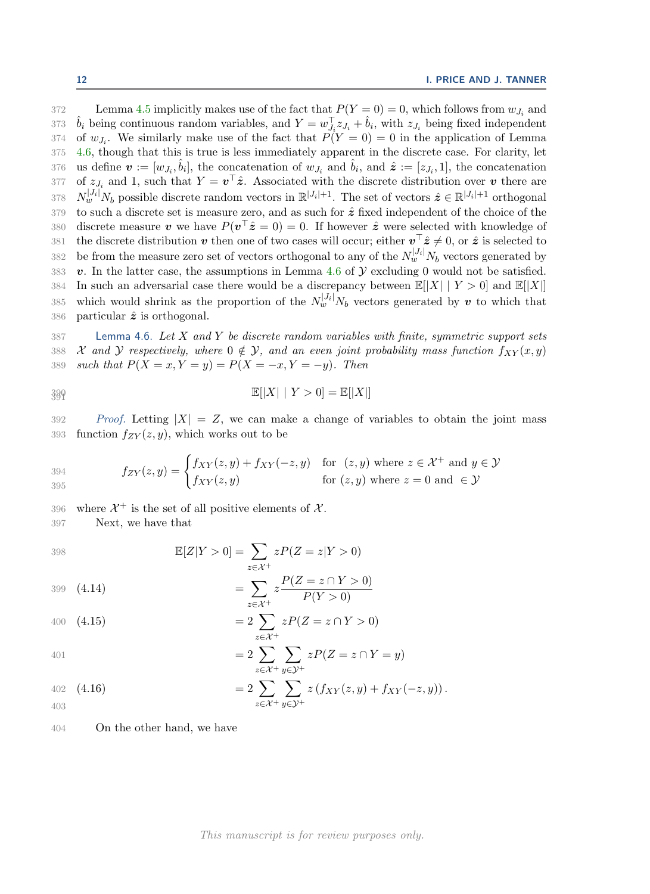372 Lemma [4.5](#page-9-2) implicitly makes use of the fact that  $P(Y = 0) = 0$ , which follows from  $w_{J_i}$  and 373  $\hat{b}_i$  being continuous random variables, and  $Y = w_{J_i}^{\top} z_{J_i} + \hat{b}_i$ , with  $z_{J_i}$  being fixed independent 374 of  $w_{J_i}$ . We similarly make use of the fact that  $P(Y = 0) = 0$  in the application of Lemma 375 [4.6,](#page-11-0) though that this is true is less immediately apparent in the discrete case. For clarity, let 376 us define  $\mathbf{v} := [w_{J_i}, \hat{b}_i]$ , the concatenation of  $w_{J_i}$  and  $\hat{b}_i$ , and  $\hat{z} := [z_{J_i}, 1]$ , the concatenation 377 of  $z_{J_i}$  and 1, such that  $Y = \mathbf{v}^\top \hat{\mathbf{z}}$ . Associated with the discrete distribution over  $\mathbf{v}$  there are 378  $N_w^{|J_i|} N_b$  possible discrete random vectors in  $\mathbb{R}^{|J_i|+1}$ . The set of vectors  $\hat{z} \in \mathbb{R}^{|J_i|+1}$  orthogonal 379 to such a discrete set is measure zero, and as such for  $\hat{z}$  fixed independent of the choice of the 380 discrete measure v we have  $P(v^{\top}\hat{z}=0)=0$ . If however  $\hat{z}$  were selected with knowledge of 381 the discrete distribution v then one of two cases will occur; either  $v^{\top}\hat{z} \neq 0$ , or  $\hat{z}$  is selected to 382 be from the measure zero set of vectors orthogonal to any of the  $N_w^{|J_i|} N_b$  vectors generated by 383 **v**. In the latter case, the assumptions in Lemma [4.6](#page-11-0) of  $Y$  excluding 0 would not be satisfied.<br>384 In such an adversarial case there would be a discrepancy between  $\mathbb{E}[|X| | Y > 0]$  and  $\mathbb{E}[|X|]$ In such an adversarial case there would be a discrepancy between  $\mathbb{E}[|X| \mid Y > 0]$  and  $\mathbb{E}[|X|]$ 385 which would shrink as the proportion of the  $N_w^{|J_i|} N_b$  vectors generated by v to which that 386 particular  $\hat{z}$  is orthogonal.

<span id="page-11-0"></span> $387$  Lemma 4.6. Let X and Y be discrete random variables with finite, symmetric support sets 388 *X* and *Y* respectively, where  $0 \notin Y$ , and an even joint probability mass function  $f_{XY}(x, y)$ <br>389 such that  $P(X = x, Y = y) = P(X = -x, Y = -y)$ . Then such that  $P(X = x, Y = y) = P(X = -x, Y = -y)$ . Then

$$
\mathbb{E}[|X| \mid Y > 0] = \mathbb{E}[|X|]
$$

392 Proof. Letting  $|X| = Z$ , we can make a change of variables to obtain the joint mass 393 function  $f_{ZY}(z, y)$ , which works out to be

$$
f_{ZY}(z,y) = \begin{cases} f_{XY}(z,y) + f_{XY}(-z,y) & \text{for } (z,y) \text{ where } z \in \mathcal{X}^+ \text{ and } y \in \mathcal{Y} \\ f_{XY}(z,y) & \text{for } (z,y) \text{ where } z = 0 \text{ and } \in \mathcal{Y} \end{cases}
$$

396 where  $\mathcal{X}^+$  is the set of all positive elements of  $\mathcal{X}$ .

397 Next, we have that

398  
\n
$$
\mathbb{E}[Z|Y > 0] = \sum_{z \in \mathcal{X}^+} zP(Z = z|Y > 0)
$$
\n
$$
= \sum_{z \in \mathcal{X}^+} z\frac{P(Z = z \cap Y > 0)}{P(Y > 0)}
$$

400 (4.15) 
$$
=2\sum_{z\in\mathcal{X}^+}zP(Z=z\cap Y>0)
$$

$$
401\,
$$

401  
\n
$$
= 2 \sum_{z \in \mathcal{X}^+} \sum_{y \in \mathcal{Y}^+} zP(Z = z \cap Y = y)
$$
\n
$$
= 2 \sum_{z \in \mathcal{X}^+} \sum_{y \in \mathcal{Y}^+} z(f_{xyz}(z, y) + f_{xyz}(z, z))
$$

<span id="page-11-1"></span>402 (4.16) 
$$
=2\sum_{z\in\mathcal{X}^+}\sum_{y\in\mathcal{Y}^+}z(f_{XY}(z,y)+f_{XY}(-z,y)).
$$

404 On the other hand, we have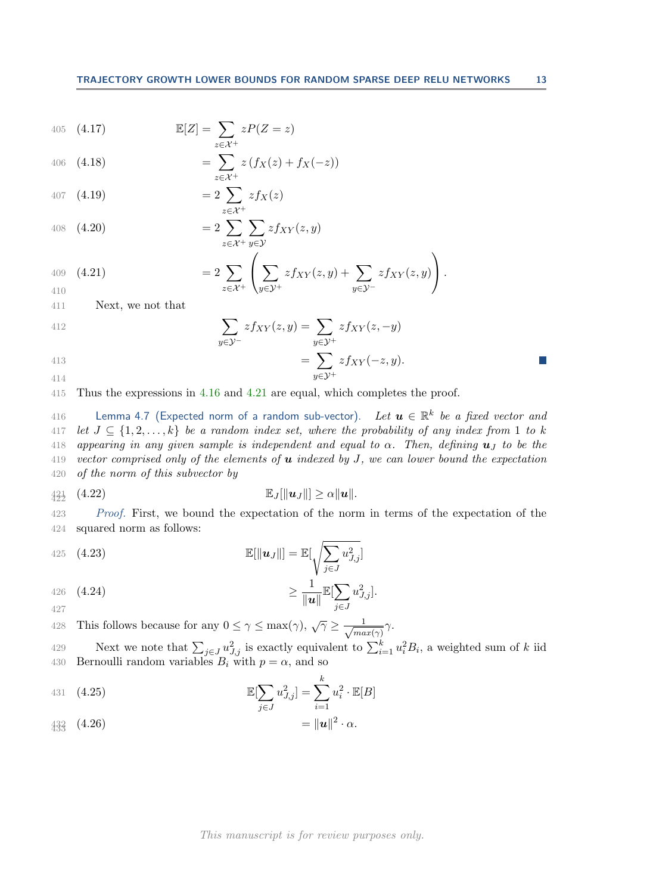405 (4.17) 
$$
\mathbb{E}[Z] = \sum_{z \in \mathcal{X}^+} zP(Z = z)
$$

406 (4.18) 
$$
= \sum_{z \in \mathcal{X}^+} z(f_X(z) + f_X(-z))
$$

407 (4.19) 
$$
= 2 \sum_{z \in \mathcal{X}^+} z f_X(z)
$$

408 (4.20) 
$$
=2\sum_{z\in\mathcal{X}^+}\sum_{y\in\mathcal{Y}}zf_{XY}(z,y)
$$

<span id="page-12-1"></span>409 (4.21) 
$$
= 2 \sum_{z \in \mathcal{X}^+} \left( \sum_{y \in \mathcal{Y}^+} z f_{XY}(z, y) + \sum_{y \in \mathcal{Y}^-} z f_{XY}(z, y) \right).
$$

411 Next, we not that

412  
\n
$$
\sum_{y \in \mathcal{Y}^-} z f_{XY}(z, y) = \sum_{y \in \mathcal{Y}^+} z f_{XY}(z, -y)
$$
\n
$$
= \sum z f_{XY}(-z, y).
$$

$$
414\,
$$

415 Thus the expressions in [4.16](#page-11-1) and [4.21](#page-12-1) are equal, which completes the proof.

<span id="page-12-0"></span>416 Lemma 4.7 (Expected norm of a random sub-vector). Let  $\boldsymbol{u} \in \mathbb{R}^k$  be a fixed vector and 417 let  $J \subseteq \{1, 2, ..., k\}$  be a random index set, where the probability of any index from 1 to k<br>418 appearing in any given sample is independent and equal to  $\alpha$ . Then, defining  $\mathbf{u}_I$  to be the appearing in any given sample is independent and equal to  $\alpha$ . Then, defining  $\mathbf{u}_J$  to be the 419 vector comprised only of the elements of  $u$  indexed by  $J$ , we can lower bound the expectation 420 of the norm of this subvector by

 $y \in \mathcal{Y}^+$ 

$$
\mathbb{E}_J[\|\mathbf{u}_J\|] \geq \alpha \|\mathbf{u}\|.
$$

423 Proof. First, we bound the expectation of the norm in terms of the expectation of the 424 squared norm as follows:

425 (4.23) 
$$
\mathbb{E}[\Vert \boldsymbol{u}_J \Vert] = \mathbb{E}[\sqrt{\sum_{j \in J} u_{J,j}^2}]
$$

<span id="page-12-2"></span>426 
$$
(4.24)
$$
  $\geq \frac{1}{\|u\|} \mathbb{E}[\sum_{j \in J} u_{J,j}^2].$ 

This follows because for any  $0 \leq \gamma \leq \max(\gamma)$ ,  $\sqrt{\gamma} \geq \frac{1}{\sqrt{ma}}$ 428 This follows because for any  $0 \le \gamma \le \max(\gamma)$ ,  $\sqrt{\gamma} \ge \frac{1}{\sqrt{\max(\gamma)}}\gamma$ .

429 Next we note that  $\sum_{j\in J} u_{J,j}^2$  is exactly equivalent to  $\sum_{i=1}^k u_i^2 B_i$ , a weighted sum of k iid 430 Bernoulli random variables  $B_i$  with  $p = \alpha$ , and so

431 (4.25) 
$$
\mathbb{E}[\sum_{j \in J} u_{J,j}^2] = \sum_{i=1}^k u_i^2 \cdot \mathbb{E}[B]
$$

$$
433 \atop 433 \atop 433 \atop 433 \atop 433 \atop 433 \atop 433 \atop 433 \atop 433 \atop 433 \atop 433 \atop 433 \atop 433 \atop 433 \atop 433 \atop 433 \atop 433 \atop 433 \atop 433 \atop 433 \atop 433 \atop 433 \atop 433 \atop 433 \atop 433 \atop 433 \atop 433 \atop 433 \atop 433 \atop 433 \atop 433 \atop 433 \atop 433 \atop 433 \atop 433 \atop 433 \atop 433 \atop 433 \atop 433 \atop 433 \atop 433 \atop 433 \atop 433 \atop 433 \atop 433 \atop 433 \atop 433 \atop 433 \atop 433 \atop 433 \atop 433 \atop 433 \atop 433 \atop 433 \atop 433 \atop 433 \atop 433 \atop 433 \atop 433 \atop 433 \atop 433 \atop 433 \atop 433 \atop 433 \atop 433 \atop 433 \atop 433 \atop 433 \atop 433 \atop 433 \atop 433 \atop 433 \atop 433 \atop 433 \atop 433 \atop 433 \atop 433 \atop 433 \atop 433 \atop 433 \atop 433 \atop 433 \atop 433 \atop 433 \atop 433 \atop 433 \atop 433 \atop 433 \atop 433 \atop 433 \atop 433 \atop 433 \atop 433 \atop 433 \atop 433 \atop 433 \atop 433 \atop 433 \atop 433 \atop 433 \atop 433 \atop 433 \atop 433 \atop 433 \atop 433 \atop 433 \atop 433 \atop 433 \atop 433
$$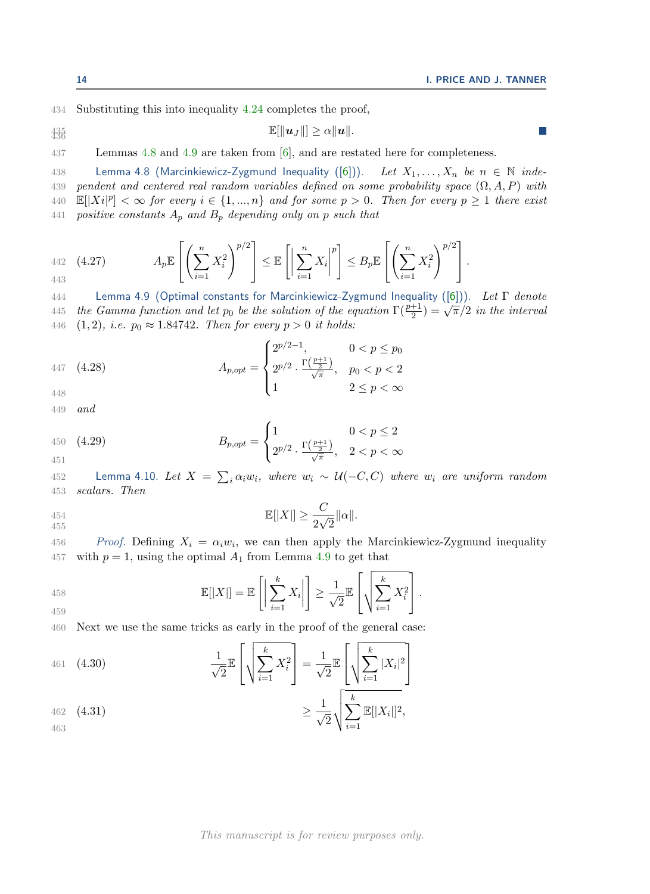434 Substituting this into inequality [4.24](#page-12-2) completes the proof,

$$
\mathbb{E}[\|\boldsymbol{u}_J\|] \geq \alpha \|\boldsymbol{u}\|.
$$

437 Lemmas [4.8](#page-13-0) and [4.9](#page-13-1) are taken from [\[6\]](#page-18-17), and are restated here for completeness.

<span id="page-13-0"></span>438 Lemma 4.8 (Marcinkiewicz-Zygmund Inequality ([\[6\]](#page-18-17))). Let  $X_1, \ldots, X_n$  be  $n \in \mathbb{N}$  inde-439 pendent and centered real random variables defined on some probability space  $(\Omega, A, P)$  with 440  $\mathbb{E}[|Xi|^p] < \infty$  for every  $i \in \{1, ..., n\}$  and for some  $p > 0$ . Then for every  $p \ge 1$  there exist 441 positive constants  $A_p$  and  $B_p$  depending only on p such that

442 (4.27) 
$$
A_p \mathbb{E}\left[\left(\sum_{i=1}^n X_i^2\right)^{p/2}\right] \leq \mathbb{E}\left[\left|\sum_{i=1}^n X_i\right|^p\right] \leq B_p \mathbb{E}\left[\left(\sum_{i=1}^n X_i^2\right)^{p/2}\right].
$$

<span id="page-13-1"></span>444 Lemma 4.9 (Optimal constants for Marcinkiewicz-Zygmund Inequality ([\[6\]](#page-18-17))). Let Γ denote 445 the Gamma function and let  $p_0$  be the solution of the equation  $\Gamma(\frac{p+1}{2}) = \sqrt{\pi}/2$  in the interval 446 (1, 2), *i.e.*  $p_0 \approx 1.84742$ . Then for every  $p > 0$  *it holds:* 

447 (4.28)  
\n
$$
A_{p,opt} = \begin{cases} 2^{p/2-1}, & 0 < p \le p_0 \\ 2^{p/2} \cdot \frac{\Gamma(\frac{p+1}{2})}{\sqrt{\pi}}, & p_0 < p < 2 \\ 1 & 2 \le p < \infty \end{cases}
$$

448

$$
449\quad and\quad
$$

450 (4.29) 
$$
B_{p,opt} = \begin{cases} 1 & 0 < p \le 2 \\ 2^{p/2} \cdot \frac{\Gamma(\frac{p+1}{2})}{\sqrt{\pi}}, & 2 < p < \infty \end{cases}
$$

<span id="page-13-2"></span>452 **Lemma 4.10.** Let  $X = \sum_i \alpha_i w_i$ , where  $w_i \sim U(-C, C)$  where  $w_i$  are uniform random 453 scalars. Then

454 
$$
\mathbb{E}[|X|] \ge \frac{C}{2\sqrt{2}} \|\alpha\|.
$$

456 Proof. Defining  $X_i = \alpha_i w_i$ , we can then apply the Marcinkiewicz-Zygmund inequality 457 with  $p = 1$ , using the optimal  $A_1$  from Lemma [4.9](#page-13-1) to get that

458 
$$
\mathbb{E}[|X|] = \mathbb{E}\left[\left|\sum_{i=1}^k X_i\right|\right] \geq \frac{1}{\sqrt{2}} \mathbb{E}\left[\sqrt{\sum_{i=1}^k X_i^2}\right].
$$

460 Next we use the same tricks as early in the proof of the general case:

<span id="page-13-3"></span>461 (4.30)  
\n
$$
\frac{1}{\sqrt{2}} \mathbb{E} \left[ \sqrt{\sum_{i=1}^{k} X_i^2} \right] = \frac{1}{\sqrt{2}} \mathbb{E} \left[ \sqrt{\sum_{i=1}^{k} |X_i|^2} \right]
$$
\n462 (4.31)  
\n
$$
\geq \frac{1}{\sqrt{2}} \sqrt{\sum_{i=1}^{k} \mathbb{E} [|X_i|]^2},
$$

<span id="page-13-4"></span>462 (4.31)  
\n
$$
\geq \frac{1}{\sqrt{2}} \sqrt{\sum_{i=1}^{n} \mathbb{E}[|X_i||^2,}
$$

 $\mathcal{C}^{\mathcal{A}}$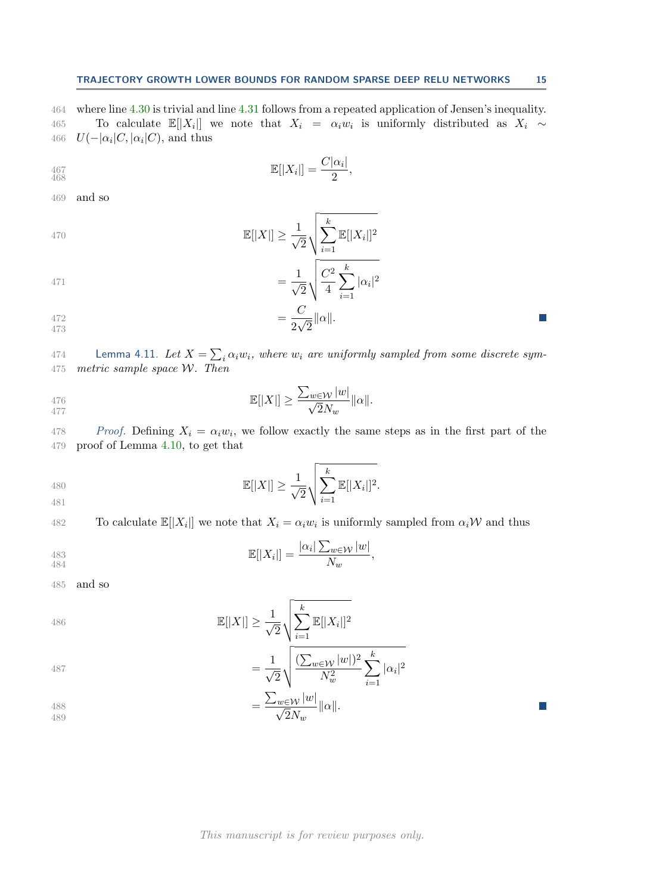464 where line [4.30](#page-13-3) is trivial and line [4.31](#page-13-4) follows from a repeated application of Jensen's inequality. 165 To calculate  $\mathbb{E}[|X_i|]$  we note that  $X_i = \alpha_i w_i$  is uniformly distributed as  $X_i \sim$ 466  $U(-|\alpha_i|C, |\alpha_i|C)$ , and thus

$$
\mathbb{E}[|X_i|] = \frac{C|\alpha_i|}{2},
$$

469 and so

$$
\mathbb{E}[|X|] \ge \frac{1}{\sqrt{2}} \sqrt{\sum_{i=1}^{k} \mathbb{E}[|X_i|]^2}
$$

471 
$$
= \frac{1}{\sqrt{2}} \sqrt{\frac{C^2}{4} \sum_{i=1}^{k} |\alpha_i|^2}
$$

$$
472 = \frac{C}{2\sqrt{2}} ||\alpha||.
$$

<span id="page-14-0"></span>474 Lemma 4.11. Let  $X = \sum_i \alpha_i w_i$ , where  $w_i$  are uniformly sampled from some discrete sym-475 metric sample space  $W$ . Then

$$
\mathbb{E}[|X|] \ge \frac{\sum_{w \in \mathcal{W}} |w|}{\sqrt{2}N_w} \|\alpha\|.
$$

<sup>478</sup> Proof. Defining  $X_i = \alpha_i w_i$ , we follow exactly the same steps as in the first part of the 479 proof of Lemma [4.10,](#page-13-2) to get that

480 
$$
\mathbb{E}[|X|] \geq \frac{1}{\sqrt{2}} \sqrt{\sum_{i=1}^{k} \mathbb{E}[|X_i|]^2}.
$$

482 To calculate  $\mathbb{E}[|X_i|]$  we note that  $X_i = \alpha_i w_i$  is uniformly sampled from  $\alpha_i \mathcal{W}$  and thus

483 
$$
\mathbb{E}[|X_i|] = \frac{|\alpha_i| \sum_{w \in \mathcal{W}} |w|}{N_w},
$$

485 and so

486 
$$
\mathbb{E}[|X|] \ge \frac{1}{\sqrt{2}} \sqrt{\sum_{i=1}^{k} \mathbb{E}[|X_i|]^2}
$$

487 
$$
= \frac{1}{\sqrt{2}} \sqrt{\frac{(\sum_{w \in \mathcal{W}} |w|)^2}{N_w^2} \sum_{i=1}^k |\alpha_i|^2}
$$

$$
= \frac{\sum_{w \in \mathcal{W}} |w|}{\sqrt{2}N_w} ||\alpha||.
$$

# This manuscript is for review purposes only.

 $\sum$ 

 $i=1$ 

 $\mathcal{C}^{\mathcal{A}}$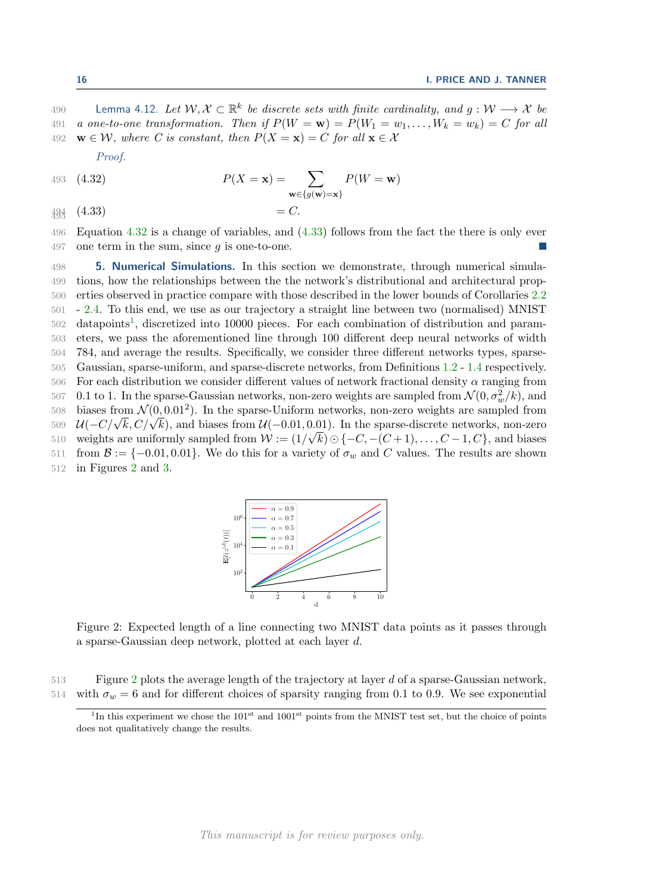190 Lemma 4.12. Let  $W, X \subset \mathbb{R}^k$  be discrete sets with finite cardinality, and  $g: W \longrightarrow X$  be 491 a one-to-one transformation. Then if  $P(W = w) = P(W_1 = w_1, \ldots, W_k = w_k) = C$  for all 492  $\mathbf{w} \in \mathcal{W}$ , where C is constant, then  $P(X = \mathbf{x}) = C$  for all  $\mathbf{x} \in \mathcal{X}$ 

<span id="page-15-0"></span>Proof.

493 (4.32) 
$$
P(X = \mathbf{x}) = \sum_{\mathbf{w} \in \{g(\mathbf{w}) = \mathbf{x}\}} P(W = \mathbf{w})
$$

<span id="page-15-1"></span> $\sigma$  $\in$ { $g$ (w)=x}  $494 \quad (4.33)$   $= C.$ 

496 Equation [4.32](#page-15-0) is a change of variables, and [\(4.33\)](#page-15-1) follows from the fact the there is only ever 497 one term in the sum, since  $q$  is one-to-one.

498 **5. Numerical Simulations.** In this section we demonstrate, through numerical simula-499 tions, how the relationships between the the network's distributional and architectural prop-500 erties observed in practice compare with those described in the lower bounds of Corollaries [2.2](#page-3-0) 501 - [2.4.](#page-4-1) To this end, we use as our trajectory a straight line between two (normalised) MNIST  $502$  datapoints<sup>[1](#page-15-2)</sup>, discretized into 10000 pieces. For each combination of distribution and param-503 eters, we pass the aforementioned line through 100 different deep neural networks of width 504 784, and average the results. Specifically, we consider three different networks types, sparse-505 Gaussian, sparse-uniform, and sparse-discrete networks, from Definitions [1.2](#page-2-0) - [1.4](#page-2-1) respectively. 506 For each distribution we consider different values of network fractional density  $\alpha$  ranging from 507 0.1 to 1. In the sparse-Gaussian networks, non-zero weights are sampled from  $\mathcal{N}(0, \sigma_w^2/k)$ , and 508 biases from  $\mathcal{N}(0, 0.01^2)$ . In the sparse-Uniform networks, non-zero weights are sampled from  $U(-C/\sqrt{k}, C/\sqrt{k})$ , and biases from  $U(-0.01, 0.01)$ . In the sparse-discrete networks, non-zero weights are uniformly sampled from  $W := (1/\sqrt{k}) \odot \{-C, -(C+1), \ldots, C-1, C\}$ , and biases 511 from  $\mathcal{B} := \{-0.01, 0.01\}$ . We do this for a variety of  $\sigma_w$  and C values. The results are shown 512 in Figures 2 and 3. 512 in Figures [2](#page-15-3) and [3.](#page-16-0)

<span id="page-15-3"></span>

Figure 2: Expected length of a line connecting two MNIST data points as it passes through a sparse-Gaussian deep network, plotted at each layer d.

513 Figure [2](#page-15-3) plots the average length of the trajectory at layer d of a sparse-Gaussian network, 514 with  $\sigma_w = 6$  and for different choices of sparsity ranging from 0.1 to 0.9. We see exponential

<span id="page-15-2"></span><sup>&</sup>lt;sup>1</sup>In this experiment we chose the  $101<sup>st</sup>$  and  $1001<sup>st</sup>$  points from the MNIST test set, but the choice of points does not qualitatively change the results.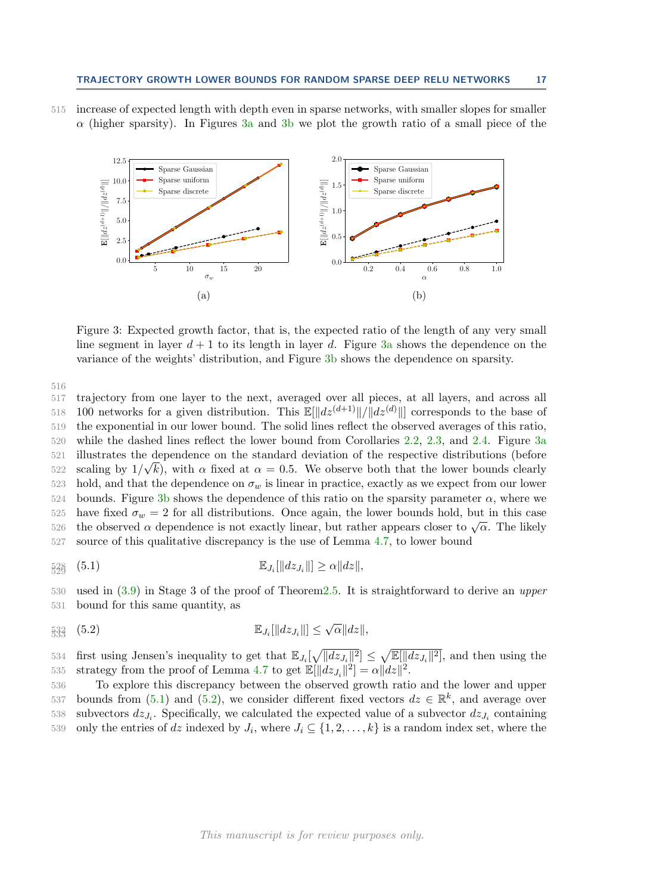<span id="page-16-0"></span>

515 increase of expected length with depth even in sparse networks, with smaller slopes for smaller  $\alpha$  (higher sparsity). In Figures [3a](#page-16-0) and [3b](#page-16-0) we plot the growth ratio of a small piece of the

Figure 3: Expected growth factor, that is, the expected ratio of the length of any very small line segment in layer  $d + 1$  to its length in layer d. Figure [3a](#page-16-0) shows the dependence on the variance of the weights' distribution, and Figure [3b](#page-16-0) shows the dependence on sparsity.

516

517 trajectory from one layer to the next, averaged over all pieces, at all layers, and across all 518 100 networks for a given distribution. This  $\mathbb{E}[\Vert dz^{(d+1)} \Vert / \Vert dz^{(d)} \Vert]$  corresponds to the base of 519 the exponential in our lower bound. The solid lines reflect the observed averages of this ratio, 520 while the dashed lines reflect the lower bound from Corollaries [2.2,](#page-3-0) [2.3,](#page-3-1) and [2.4.](#page-4-1) Figure [3a](#page-16-0) 521 illustrates the dependence on the standard deviation of the respective distributions (before scaling by  $1/\sqrt{k}$ , with  $\alpha$  fixed at  $\alpha = 0.5$ . We observe both that the lower bounds clearly 523 hold, and that the dependence on  $\sigma_w$  is linear in practice, exactly as we expect from our lower 524 bounds. Figure [3b](#page-16-0) shows the dependence of this ratio on the sparsity parameter  $\alpha$ , where we 525 have fixed  $\sigma_w = 2$  for all distributions. Once again, the lower bounds hold, but in this case 526 the observed  $\alpha$  dependence is not exactly linear, but rather appears closer to  $\sqrt{\alpha}$ . The likely 527 source of this qualitative discrepancy is the use of Lemma [4.7,](#page-12-0) to lower bound

<span id="page-16-1"></span>
$$
\mathbb{E}_{J_i}[\|dz_{J_i}\|] \geq \alpha \|dz\|,
$$

530 used in [\(3.9\)](#page-7-3) in Stage 3 of the proof of Theore[m2.5.](#page-4-0) It is straightforward to derive an upper 531 bound for this same quantity, as

<span id="page-16-2"></span>
$$
\mathbb{E}_{J_i}[\|dz_{J_i}\|] \leq \sqrt{\alpha} \|dz\|,
$$

534 first using Jensen's inequality to get that  $\mathbb{E}_{J_i}[\sqrt{||dz_{J_i}||^2}] \leq \sqrt{\mathbb{E}[\Vert dz_{J_i} \Vert^2]}$ , and then using the 535 strategy from the proof of Lemma [4.7](#page-12-0) to get  $\mathbb{E}[\Vert dz_{J_i} \Vert^2] = \alpha \Vert dz \Vert^2$ .

536 To explore this discrepancy between the observed growth ratio and the lower and upper 537 bounds from [\(5.1\)](#page-16-1) and [\(5.2\)](#page-16-2), we consider different fixed vectors  $dz \in \mathbb{R}^k$ , and average over 538 subvectors  $dz_{J_i}$ . Specifically, we calculated the expected value of a subvector  $dz_{J_i}$  containing 539 only the entries of dz indexed by  $J_i$ , where  $J_i \subseteq \{1, 2, \ldots, k\}$  is a random index set, where the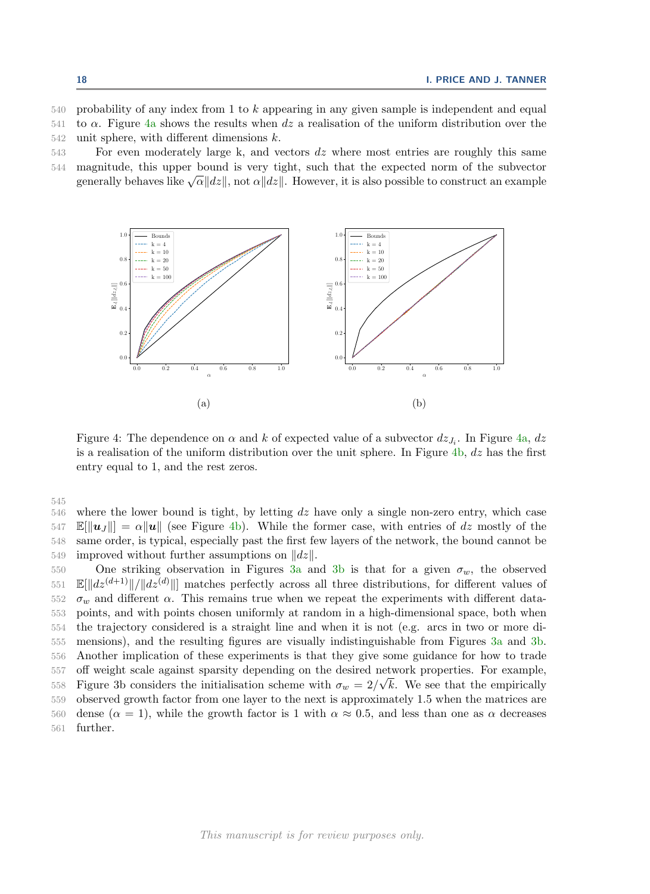540 probability of any index from 1 to k appearing in any given sample is independent and equal 541 to  $\alpha$ . Figure [4a](#page-17-0) shows the results when dz a realisation of the uniform distribution over the  $542$  unit sphere, with different dimensions  $k$ .

543 For even moderately large k, and vectors dz where most entries are roughly this same 544 magnitude, this upper bound is very tight, such that the expected norm of the subvector

generally behaves like  $\sqrt{\alpha}||dz||$ , not  $\alpha||dz||$ . However, it is also possible to construct an example

<span id="page-17-0"></span>

Figure 4: The dependence on  $\alpha$  and  $k$  of expected value of a subvector  $dz_{J_i}$ . In Figure [4a,](#page-17-0)  $dz$ is a realisation of the uniform distribution over the unit sphere. In Figure  $4b, dz$  $4b, dz$  has the first entry equal to 1, and the rest zeros.

545

 $546$  where the lower bound is tight, by letting dz have only a single non-zero entry, which case  $547$   $\mathbb{E}[\|\boldsymbol{u}_J\|] = \alpha \|\boldsymbol{u}\|$  (see Figure [4b\)](#page-17-0). While the former case, with entries of dz mostly of the 548 same order, is typical, especially past the first few layers of the network, the bound cannot be same order, is typical, especially past the first few layers of the network, the bound cannot be 549 improved without further assumptions on  $||dz||$ .<br>550 One striking observation in Figures 3a and

One striking observation in Figures [3a](#page-16-0) and [3b](#page-16-0) is that for a given  $\sigma_w$ , the observed  $\mathbb{E}[\Vert dz^{(d+1)} \Vert / \Vert dz^{(d)} \Vert]$  matches perfectly across all three distributions, for different values of  $\sigma_w$  and different  $\alpha$ . This remains true when we repeat the experiments with different data- points, and with points chosen uniformly at random in a high-dimensional space, both when the trajectory considered is a straight line and when it is not (e.g. arcs in two or more di- mensions), and the resulting figures are visually indistinguishable from Figures [3a](#page-16-0) and [3b.](#page-16-0) Another implication of these experiments is that they give some guidance for how to trade off weight scale against sparsity depending on the desired network properties. For example, Figure 3b considers the initialisation scheme with  $\sigma_w = 2/\sqrt{k}$ . We see that the empirically observed growth factor from one layer to the next is approximately 1.5 when the matrices are 560 dense ( $\alpha = 1$ ), while the growth factor is 1 with  $\alpha \approx 0.5$ , and less than one as  $\alpha$  decreases 561 further.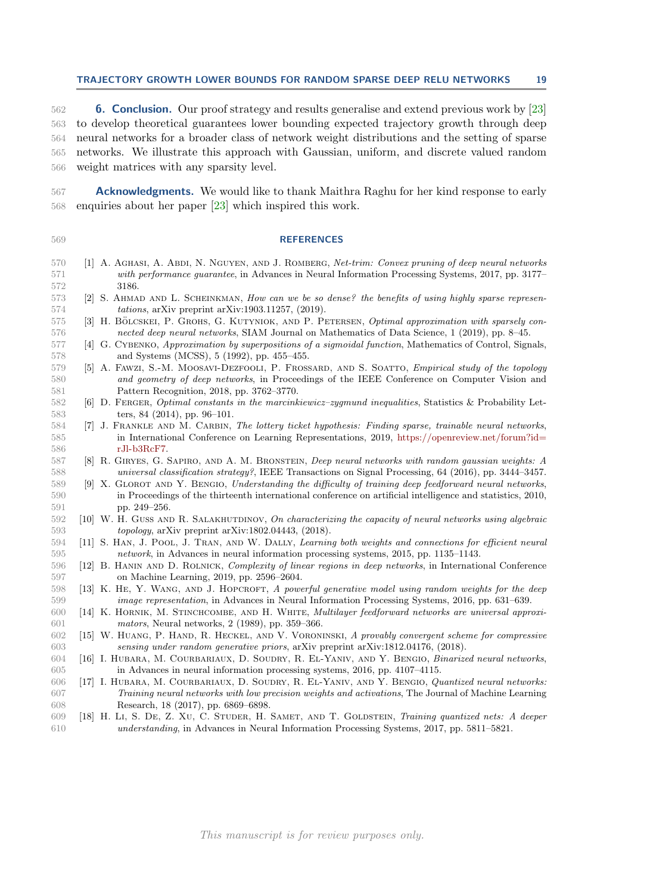### TRAJECTORY GROWTH LOWER BOUNDS FOR RANDOM SPARSE DEEP RELU NETWORKS 19

 6. Conclusion. Our proof strategy and results generalise and extend previous work by [\[23\]](#page-19-4) to develop theoretical guarantees lower bounding expected trajectory growth through deep neural networks for a broader class of network weight distributions and the setting of sparse networks. We illustrate this approach with Gaussian, uniform, and discrete valued random weight matrices with any sparsity level.

**Acknowledgments.** We would like to thank Maithra Raghu for her kind response to early enquiries about her paper [\[23\]](#page-19-4) which inspired this work.

# REFERENCES

- <span id="page-18-11"></span> [1] A. Aghasi, A. Abdi, N. Nguyen, and J. Romberg, Net-trim: Convex pruning of deep neural networks with performance guarantee, in Advances in Neural Information Processing Systems, 2017, pp. 3177– 3186.
- <span id="page-18-10"></span>573 [2] S. AHMAD AND L. SCHEINKMAN, How can we be so dense? the benefits of using highly sparse represen-tations, arXiv preprint arXiv:1903.11257, (2019).
- <span id="page-18-12"></span>575 [3] H. BÖLCSKEI, P. GROHS, G. KUTYNIOK, AND P. PETERSEN, Optimal approximation with sparsely con-nected deep neural networks, SIAM Journal on Mathematics of Data Science, 1 (2019), pp. 8–45.
- <span id="page-18-0"></span> [4] G. Cybenko, Approximation by superpositions of a sigmoidal function, Mathematics of Control, Signals, and Systems (MCSS), 5 (1992), pp. 455–455.
- <span id="page-18-4"></span> [5] A. Fawzi, S.-M. Moosavi-Dezfooli, P. Frossard, and S. Soatto, Empirical study of the topology and geometry of deep networks, in Proceedings of the IEEE Conference on Computer Vision and Pattern Recognition, 2018, pp. 3762–3770.
- <span id="page-18-17"></span> [6] D. Ferger, Optimal constants in the marcinkiewicz–zygmund inequalities, Statistics & Probability Let-ters, 84 (2014), pp. 96–101.
- <span id="page-18-8"></span> [7] J. Frankle and M. Carbin, The lottery ticket hypothesis: Finding sparse, trainable neural networks, in International Conference on Learning Representations, 2019, [https://openreview.net/forum?id=](https://openreview.net/forum?id=rJl-b3RcF7) [rJl-b3RcF7.](https://openreview.net/forum?id=rJl-b3RcF7)
- <span id="page-18-5"></span> [8] R. Giryes, G. Sapiro, and A. M. Bronstein, Deep neural networks with random gaussian weights: A universal classification strategy?, IEEE Transactions on Signal Processing, 64 (2016), pp. 3444–3457.
- <span id="page-18-13"></span> [9] X. Glorot and Y. Bengio, Understanding the difficulty of training deep feedforward neural networks, in Proceedings of the thirteenth international conference on artificial intelligence and statistics, 2010, pp. 249–256.
- <span id="page-18-2"></span>592 [10] W. H. GUSS AND R. SALAKHUTDINOV, On characterizing the capacity of neural networks using algebraic topology, arXiv preprint arXiv:1802.04443, (2018).
- <span id="page-18-9"></span> [11] S. Han, J. Pool, J. Tran, and W. Dally, Learning both weights and connections for efficient neural network, in Advances in neural information processing systems, 2015, pp. 1135–1143.
- <span id="page-18-3"></span> [12] B. Hanin and D. Rolnick, Complexity of linear regions in deep networks, in International Conference on Machine Learning, 2019, pp. 2596–2604.
- <span id="page-18-6"></span>598 [13] K. HE, Y. WANG, AND J. HOPCROFT, A powerful generative model using random weights for the deep image representation, in Advances in Neural Information Processing Systems, 2016, pp. 631–639.
- <span id="page-18-1"></span> [14] K. Hornik, M. Stinchcombe, and H. White, Multilayer feedforward networks are universal approxi-mators, Neural networks, 2 (1989), pp. 359–366.
- <span id="page-18-7"></span> [15] W. Huang, P. Hand, R. Heckel, and V. Voroninski, A provably convergent scheme for compressive sensing under random generative priors, arXiv preprint arXiv:1812.04176, (2018).
- <span id="page-18-15"></span> [16] I. Hubara, M. Courbariaux, D. Soudry, R. El-Yaniv, and Y. Bengio, Binarized neural networks, in Advances in neural information processing systems, 2016, pp. 4107–4115.
- <span id="page-18-16"></span> [17] I. Hubara, M. Courbariaux, D. Soudry, R. El-Yaniv, and Y. Bengio, Quantized neural networks: Training neural networks with low precision weights and activations, The Journal of Machine Learning Research, 18 (2017), pp. 6869–6898.
- <span id="page-18-14"></span> [18] H. Li, S. De, Z. Xu, C. Studer, H. Samet, and T. Goldstein, Training quantized nets: A deeper understanding, in Advances in Neural Information Processing Systems, 2017, pp. 5811–5821.